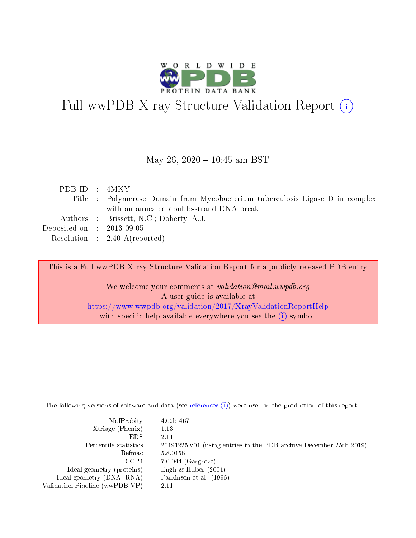

# Full wwPDB X-ray Structure Validation Report (i)

#### May 26, 2020 - 10:45 am BST

| PDBID : 4MKY                |                                                                               |
|-----------------------------|-------------------------------------------------------------------------------|
|                             | Title : Polymerase Domain from Mycobacterium tuberculosis Ligase D in complex |
|                             | with an annealed double-strand DNA break.                                     |
|                             | Authors : Brissett, N.C.; Doherty, A.J.                                       |
| Deposited on : $2013-09-05$ |                                                                               |
|                             | Resolution : $2.40 \text{ Å}$ (reported)                                      |

This is a Full wwPDB X-ray Structure Validation Report for a publicly released PDB entry.

We welcome your comments at validation@mail.wwpdb.org A user guide is available at <https://www.wwpdb.org/validation/2017/XrayValidationReportHelp> with specific help available everywhere you see the  $(i)$  symbol.

The following versions of software and data (see [references](https://www.wwpdb.org/validation/2017/XrayValidationReportHelp#references)  $(i)$ ) were used in the production of this report:

| $MolProbability$ 4.02b-467                          |                                                                                            |
|-----------------------------------------------------|--------------------------------------------------------------------------------------------|
| Xtriage (Phenix) $: 1.13$                           |                                                                                            |
| $EDS$ :                                             | -2.11                                                                                      |
|                                                     | Percentile statistics : 20191225.v01 (using entries in the PDB archive December 25th 2019) |
|                                                     | Refmac : 5.8.0158                                                                          |
|                                                     | $CCP4$ : 7.0.044 (Gargrove)                                                                |
| Ideal geometry (proteins) : Engh $\&$ Huber (2001)  |                                                                                            |
| Ideal geometry (DNA, RNA) : Parkinson et al. (1996) |                                                                                            |
| Validation Pipeline (wwPDB-VP)                      | -2.11                                                                                      |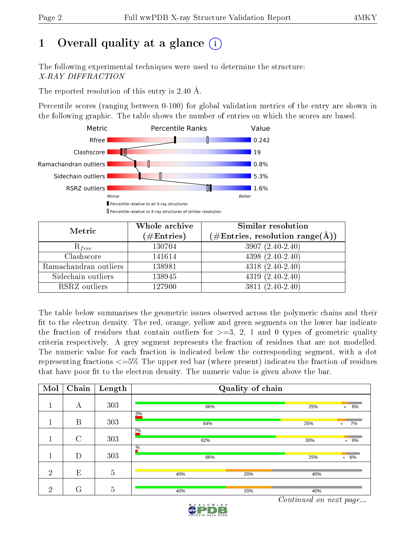# 1 [O](https://www.wwpdb.org/validation/2017/XrayValidationReportHelp#overall_quality)verall quality at a glance  $(i)$

The following experimental techniques were used to determine the structure: X-RAY DIFFRACTION

The reported resolution of this entry is 2.40 Å.

Percentile scores (ranging between 0-100) for global validation metrics of the entry are shown in the following graphic. The table shows the number of entries on which the scores are based.



| Metric                | Whole archive<br>$(\#\mathrm{Entries})$ | Similar resolution<br>$(\#\text{Entries},\,\text{resolution}\,\,\text{range}(\textup{\AA}))$ |  |  |
|-----------------------|-----------------------------------------|----------------------------------------------------------------------------------------------|--|--|
| $R_{free}$            | 130704                                  | $3907(2.40-2.40)$                                                                            |  |  |
| Clashscore            | 141614                                  | $4398(2.40-2.40)$                                                                            |  |  |
| Ramachandran outliers | 138981                                  | $4318(2.40-2.40)$                                                                            |  |  |
| Sidechain outliers    | 138945                                  | $4319(2.40-2.40)$                                                                            |  |  |
| RSRZ outliers         | 127900                                  | $3811 (2.40 - 2.40)$                                                                         |  |  |

The table below summarises the geometric issues observed across the polymeric chains and their fit to the electron density. The red, orange, yellow and green segments on the lower bar indicate the fraction of residues that contain outliers for  $>=3, 2, 1$  and 0 types of geometric quality criteria respectively. A grey segment represents the fraction of residues that are not modelled. The numeric value for each fraction is indicated below the corresponding segment, with a dot representing fractions  $\epsilon=5\%$  The upper red bar (where present) indicates the fraction of residues that have poor fit to the electron density. The numeric value is given above the bar.

| Mol            | $\overline{\text{Chain}}$ | Length         | Quality of chain |     |                 |     |                 |
|----------------|---------------------------|----------------|------------------|-----|-----------------|-----|-----------------|
|                | А                         | 303            |                  | 66% |                 | 25% | 6%<br>$\bullet$ |
|                | B                         | 303            | 3%               | 25% | 7%<br>$\bullet$ |     |                 |
|                | $\mathcal{C}$             | 303            | 20/6             | 62% |                 |     |                 |
|                | D                         | 303            | $\frac{0}{6}$    | 66% |                 | 25% | $.6\%$          |
| $\overline{2}$ | E                         | $\overline{5}$ | 40%              |     | 20%             | 40% |                 |
| $\overline{2}$ | G                         | $\overline{5}$ | 40%              |     | 20%             | 40% |                 |

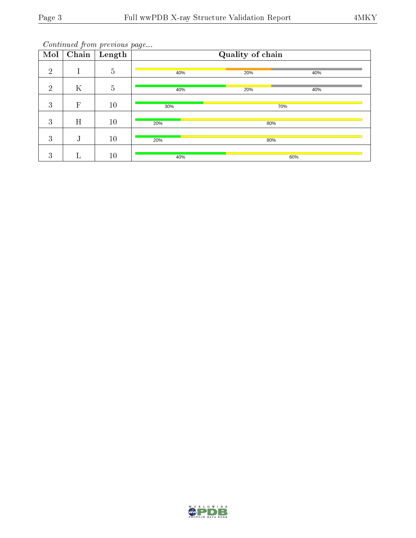| $\overline{\text{Mol}}$ | $\overline{\text{Chain}}$ | Length         | Quality of chain |     |     |  |  |
|-------------------------|---------------------------|----------------|------------------|-----|-----|--|--|
| $\overline{2}$          |                           | $\overline{5}$ | 40%              | 20% | 40% |  |  |
| $\overline{2}$          | $\rm K$                   | $\overline{5}$ | 40%              | 20% | 40% |  |  |
| 3                       | $\overline{F}$            | 10             | 30%              | 70% |     |  |  |
| 3                       | H                         | 10             | 20%              | 80% |     |  |  |
| 3                       | J                         | 10             | 20%              | 80% |     |  |  |
| 3                       | $\Gamma$                  | 10             | 40%              |     | 60% |  |  |

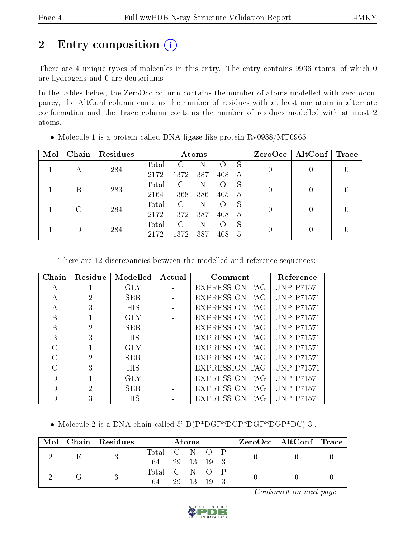# 2 Entry composition (i)

There are 4 unique types of molecules in this entry. The entry contains 9936 atoms, of which 0 are hydrogens and 0 are deuteriums.

In the tables below, the ZeroOcc column contains the number of atoms modelled with zero occupancy, the AltConf column contains the number of residues with at least one atom in alternate conformation and the Trace column contains the number of residues modelled with at most 2 atoms.

| Mol | Chain         | <b>Residues</b> | Atoms |      |     |     |    | ZeroOcc | AltConf | $\rm Trace$ |
|-----|---------------|-----------------|-------|------|-----|-----|----|---------|---------|-------------|
|     |               | 284             | Total |      |     |     | S  |         | 0       |             |
|     | А             |                 | 2172  | 1372 | 387 | 408 | 5  |         |         |             |
|     | В             | 283             | Total | C    |     |     | S  | 0       |         |             |
|     |               |                 | 2164  | 1368 | 386 | 405 | -5 |         |         |             |
|     | $\mathcal{C}$ | 284             | Total | C    | N   |     | S  |         |         |             |
|     |               |                 | 2172  | 1372 | 387 | 408 | 5  | 0       |         |             |
|     |               | 284             | Total | C    | N   |     | S  |         |         |             |
|     |               |                 | 2172  | 1372 | 387 | 408 | 5  | 0       |         |             |

• Molecule 1 is a protein called DNA ligase-like protein Rv0938/MT0965.

There are 12 discrepancies between the modelled and reference sequences:

| Chain         | Residue        | Modelled   | Actual | Comment               | Reference         |
|---------------|----------------|------------|--------|-----------------------|-------------------|
| А             |                | GLY        |        | <b>EXPRESSION TAG</b> | <b>UNP P71571</b> |
| $\mathsf{A}$  | $\overline{2}$ | SER.       |        | <b>EXPRESSION TAG</b> | <b>UNP P71571</b> |
| A             | 3              | HIS        |        | <b>EXPRESSION TAG</b> | <b>UNP P71571</b> |
| B             |                | <b>GLY</b> |        | <b>EXPRESSION TAG</b> | <b>UNP P71571</b> |
| B             | $\mathcal{P}$  | SER.       |        | <b>EXPRESSION TAG</b> | <b>UNP P71571</b> |
| B             | 3              | <b>HIS</b> |        | <b>EXPRESSION TAG</b> | <b>UNP P71571</b> |
| $\mathcal{C}$ |                | GLY        |        | <b>EXPRESSION TAG</b> | <b>UNP P71571</b> |
| $\Gamma$      | $\mathcal{D}$  | SER.       |        | <b>EXPRESSION TAG</b> | <b>UNP P71571</b> |
| $\Gamma$      | 3              | <b>HIS</b> |        | <b>EXPRESSION TAG</b> | <b>UNP P71571</b> |
| D             |                | GLY        |        | <b>EXPRESSION TAG</b> | <b>UNP P71571</b> |
| D             | 2              | SER.       |        | <b>EXPRESSION TAG</b> | <b>UNP P71571</b> |
| I)            | 3              | HIS        |        | <b>EXPRESSION TAG</b> | P71571            |

Molecule 2 is a DNA chain called 5'-D(P\*DGP\*DCP\*DGP\*DGP\*DC)-3'.

| Mol | Chain   Residues | Atoms         |    |          |    |  | ZeroOcc   AltConf   Trace |  |
|-----|------------------|---------------|----|----------|----|--|---------------------------|--|
|     |                  | Total C N O P |    |          |    |  |                           |  |
|     |                  | 64            |    | 29 13 19 |    |  |                           |  |
|     |                  | Total C N O   |    |          |    |  |                           |  |
|     |                  | 64            | 29 | -13      | 19 |  |                           |  |

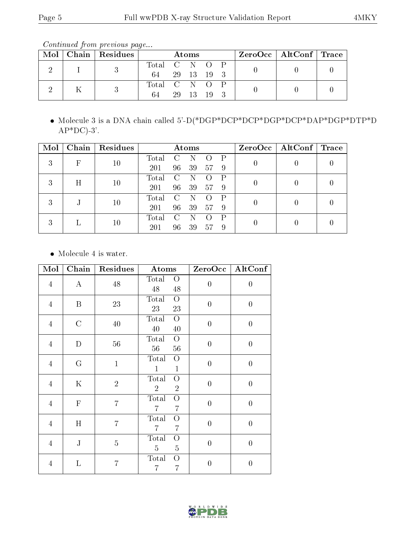Continued from previous page...

| Mol | Chain   Residues | Atoms         |  |  | $ZeroOcc \mid AltConf \mid Trace$ |  |  |  |
|-----|------------------|---------------|--|--|-----------------------------------|--|--|--|
|     |                  | Total C N O P |  |  |                                   |  |  |  |
|     |                  | 64 29 13 19 3 |  |  |                                   |  |  |  |
|     |                  | Total C N O P |  |  |                                   |  |  |  |
|     |                  | 64            |  |  | 29 13 19 3                        |  |  |  |

 Molecule 3 is a DNA chain called 5'-D(\*DGP\*DCP\*DCP\*DGP\*DCP\*DAP\*DGP\*DTP\*D  $AP*DC$ )-3'.

| Mol | Chain      | Residues | Atoms |               |    |    |              | ZeroOcc | $\mid$ AltConf $\mid$ Trace |  |
|-----|------------|----------|-------|---------------|----|----|--------------|---------|-----------------------------|--|
| 3   | $_{\rm F}$ | 10       | Total |               |    |    | $\mathsf{P}$ | 0       |                             |  |
|     |            |          | 201   | 96            | 39 | 57 | -9           |         |                             |  |
| 3   | H          | 10       | Total | C             |    |    | P            |         |                             |  |
|     |            |          | 201   | 96            | 39 | 57 | -9           |         |                             |  |
| 3   |            | 10       | Total | $\mathcal{C}$ |    |    | $\mathsf{P}$ |         |                             |  |
|     |            |          | 201   | 96            | 39 | 57 | 9            |         |                             |  |
|     | 3          |          | Total | C             |    |    | P            |         |                             |  |
|     |            | $10\,$   | 201   | 96            | 39 | 57 | -9           |         |                             |  |

• Molecule 4 is water.

| Mol            | Chain         | Residues       | Atoms                                                   | ZeroOcc          | AltConf          |
|----------------|---------------|----------------|---------------------------------------------------------|------------------|------------------|
| $\overline{4}$ | $\bf{A}$      | $48\,$         | Total<br>$\overline{O}$<br>$48\,$<br>$48\,$             | $\boldsymbol{0}$ | $\boldsymbol{0}$ |
| $\overline{4}$ | B             | 23             | Total<br>$\overline{O}$<br>23<br>23                     | $\overline{0}$   | $\overline{0}$   |
| $\overline{4}$ | $\mathcal{C}$ | $40\,$         | Total<br>$\overline{O}$<br>$40\,$<br>40                 | $\boldsymbol{0}$ | $\overline{0}$   |
| $\overline{4}$ | $\mathbf D$   | $56\,$         | Total<br>$\overline{O}$<br>$56\,$<br>56                 | $\overline{0}$   | $\boldsymbol{0}$ |
| $\overline{4}$ | G             | $\mathbf{1}$   | Total<br>$\overline{O}$<br>$\mathbf{1}$<br>$\mathbf{1}$ | $\boldsymbol{0}$ | $\overline{0}$   |
| $\overline{4}$ | $\mathbf K$   | $\overline{2}$ | Total<br>О<br>$\overline{2}$<br>$\overline{2}$          | $\overline{0}$   | $\overline{0}$   |
| $\overline{4}$ | $\mathbf F$   | $\overline{7}$ | Total<br>O<br>$\overline{7}$<br>$\overline{7}$          | $\boldsymbol{0}$ | $\overline{0}$   |
| $\overline{4}$ | H             | $\overline{7}$ | Total<br>О<br>$\overline{7}$<br>$\overline{7}$          | $\overline{0}$   | $\overline{0}$   |
| $\overline{4}$ | ${\bf J}$     | $\overline{5}$ | Total<br>$\overline{O}$<br>$\overline{5}$<br>5          | $\boldsymbol{0}$ | $\overline{0}$   |
| $\overline{4}$ | L             | $\overline{7}$ | Total<br>О<br>$\overline{7}$<br>$\overline{7}$          | $\overline{0}$   | $\boldsymbol{0}$ |

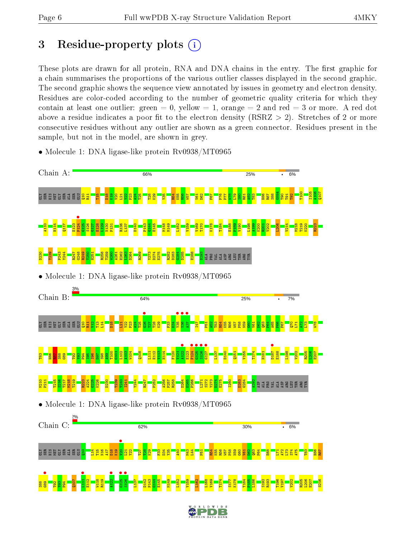# 3 Residue-property plots  $(i)$

These plots are drawn for all protein, RNA and DNA chains in the entry. The first graphic for a chain summarises the proportions of the various outlier classes displayed in the second graphic. The second graphic shows the sequence view annotated by issues in geometry and electron density. Residues are color-coded according to the number of geometric quality criteria for which they contain at least one outlier: green  $= 0$ , yellow  $= 1$ , orange  $= 2$  and red  $= 3$  or more. A red dot above a residue indicates a poor fit to the electron density (RSRZ  $> 2$ ). Stretches of 2 or more consecutive residues without any outlier are shown as a green connector. Residues present in the sample, but not in the model, are shown in grey.



• Molecule 1: DNA ligase-like protein Rv0938/MT0965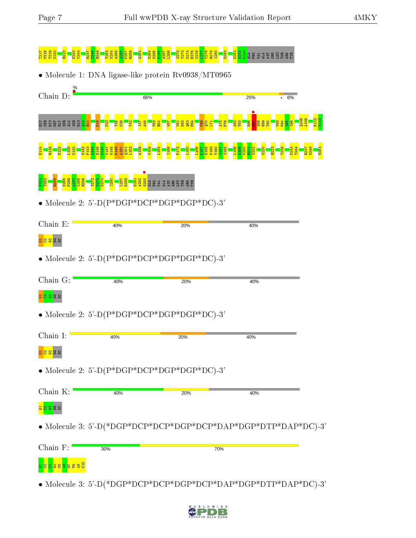#### T217 M218 T219 K220 R223 P243 Y244 R247 G248 R249 T253 V254 A255 A256 P257 R258 A261 D264 D265 P266 A267 L268 S272 Y273 D274 E275 V276 L277 T278 R279 I280 D283 D291 A292 D293 ALA PRO VAL ALA ASP ARG LEU THR ARG TYR • Molecule 1: DNA ligase-like protein Rv0938/MT0965 Chain D: 66% **25%** 6% e<br>Ba Q108 A109 E112  $\frac{13}{2}$ Ser E Ser Ser GLU  $\frac{1}{10}$  $\Xi^+$  $\frac{8}{2}$  $\frac{2}{2}$ T28  $\frac{8}{2}$  $\frac{1}{2}$ I47 A48 T53  $\frac{1}{2}$  $\frac{1}{2}$  $\overline{\mathbf{v}}$  $^{\circ}$  $\overline{a}$  $\frac{4}{5}$  $\frac{8}{2}$  $\frac{1}{2}$ L71 A75 P76  $\frac{82}{2}$  $\frac{3}{2}$  $\frac{8}{2}$ S88  $\frac{3}{2}$  $\frac{1}{2}$  $\frac{8}{2}$  $\frac{4}{5}$  $\frac{15}{10}$ I96 H114 R119 E123 L129 N130 D142 P143  $3144$ E145 G146 V147 M148 M149 A150  $151$ L152 A156 V159 L163 I166 P172 L180 L186 D187 E188 P189 V190 S191 S192 L198 A199 K200  $\frac{1}{2}$ V202 K220 R223 T239 P243 Y244 R247 G248 H251 **D**<br>88884<br>2824 EE 49 EE 51  $\frac{52}{2}$ T253 R258 D265 P266  $\frac{1}{2}$ L268 R269 S272  $\frac{273}{2}$ D274 I280  $^{1287}$ E288 • Molecule 2: 5'-D(P\*DGP\*DCP\*DGP\*DGP\*DC)-3' Chain E: 40% 20% 40% <mark>ទី១ន</mark>ន • Molecule 2: 5'-D(P\*DGP\*DCP\*DGP\*DGP\*DC)-3' Chain G: 40% 20% 40% <mark>ទ </mark>នី និង • Molecule 2: 5'-D(P\*DGP\*DCP\*DGP\*DGP\*DC)-3' Chain I: 40% 20% 40% <mark>ន ខ ខ</mark> ឌ ន • Molecule 2: 5'-D(P\*DGP\*DCP\*DGP\*DGP\*DC)-3' Chain K: 40% 20% 40% <mark>ន </mark>ខ ន ន • Molecule 3: 5'-D(\*DGP\*DCP\*DCP\*DGP\*DCP\*DAP\*DGP\*DTP\*DAP\*DC)-3' Chain F: 30% 70% <mark>ក្តែង ន្ទង ន្ទង ន</mark>

• Molecule 3: 5'-D(\*DGP\*DCP\*DCP\*DGP\*DCP\*DAP\*DGP\*DTP\*DAP\*DC)-3'

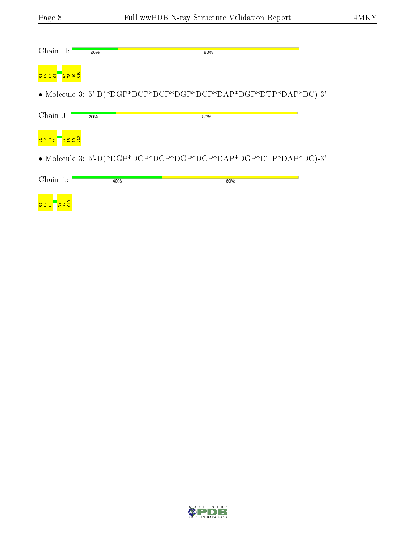| Chain H:                                | 20% | 80%                                                            |
|-----------------------------------------|-----|----------------------------------------------------------------|
| <mark>ទ្ធ ឌ ន</mark>                    |     |                                                                |
|                                         |     | • Molecule 3: 5'-D(*DGP*DCP*DCP*DGP*DCP*DAP*DGP*DTP*DAP*DC)-3' |
| Chain J:                                | 20% | 80%                                                            |
| <mark>ទីនង៩</mark><br><mark>3833</mark> |     |                                                                |
|                                         |     | • Molecule 3: 5'-D(*DGP*DCP*DCP*DGP*DCP*DAP*DGP*DTP*DAP*DC)-3' |
| Chain L:                                | 40% | 60%                                                            |
| თ $H$<br>588                            |     |                                                                |

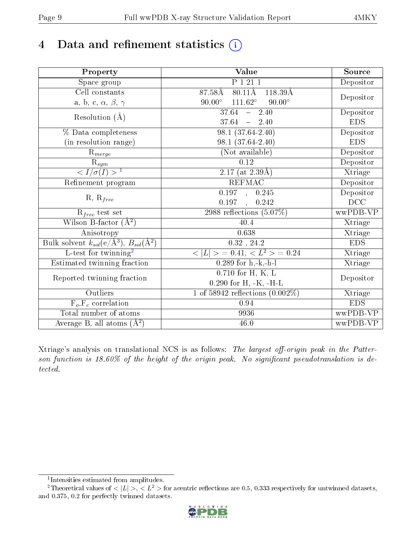# 4 Data and refinement statistics  $(i)$

| Property                                                          | Value                                             | Source     |
|-------------------------------------------------------------------|---------------------------------------------------|------------|
| $\overline{\text{Space}}$ group                                   | P 1 21 1                                          | Depositor  |
| Cell constants                                                    | $80.11\text{\AA}$<br>$87.58\text{\AA}$<br>118.39Å |            |
| a, b, c, $\alpha$ , $\beta$ , $\gamma$                            | $111.62^\circ$<br>$90.00^\circ$<br>$90.00^\circ$  | Depositor  |
| Resolution $(\AA)$                                                | $37.64 - 2.40$                                    | Depositor  |
|                                                                   | $37.64 - 2.40$                                    | <b>EDS</b> |
| % Data completeness                                               | $98.1(37.64-2.40)$                                | Depositor  |
| (in resolution range)                                             | 98.1 (37.64-2.40)                                 | <b>EDS</b> |
| $R_{merge}$                                                       | (Not available)                                   | Depositor  |
| $\frac{R_{sym}}{{}1}$                                             | 0.12                                              | Depositor  |
|                                                                   | $2.17$ (at $2.39\text{\AA}$ )                     | Xtriage    |
| Refinement program                                                | <b>REFMAC</b>                                     | Depositor  |
|                                                                   | 0.197, 0.245                                      | Depositor  |
| $R, R_{free}$                                                     | 0.197, 0.242                                      | DCC        |
| $R_{free}$ test set                                               | 2988 reflections $(5.07\%)$                       | wwPDB-VP   |
| Wilson B-factor $(A^2)$                                           | 40.4                                              | Xtriage    |
| Anisotropy                                                        | 0.638                                             | Xtriage    |
| Bulk solvent $k_{sol}(e/\mathring{A}^3), B_{sol}(\mathring{A}^2)$ | $0.32$ , $24.2$                                   | <b>EDS</b> |
| $L$ -test for twinning <sup>2</sup>                               | $< L >$ = 0.41, $< L^2 >$ = 0.24                  | Xtriage    |
| Estimated twinning fraction                                       | $0.289$ for h,-k,-h-l                             | Xtriage    |
| Reported twinning fraction                                        | $0.710$ for H, K, L                               | Depositor  |
|                                                                   | $0.290$ for H, -K, -H-L                           |            |
| Outliers                                                          | $\overline{1}$ of 58942 reflections $(0.002\%)$   | Xtriage    |
| $F_o, F_c$ correlation                                            | 0.94                                              | <b>EDS</b> |
| Total number of atoms                                             | 9936                                              | wwPDB-VP   |
| Average B, all atoms $(A^2)$                                      | 46.0                                              | wwPDB-VP   |

Xtriage's analysis on translational NCS is as follows: The largest off-origin peak in the Patterson function is  $18.60\%$  of the height of the origin peak. No significant pseudotranslation is detected.

<sup>&</sup>lt;sup>2</sup>Theoretical values of  $\langle |L| \rangle$ ,  $\langle L^2 \rangle$  for acentric reflections are 0.5, 0.333 respectively for untwinned datasets, and 0.375, 0.2 for perfectly twinned datasets.



<span id="page-8-1"></span><span id="page-8-0"></span><sup>1</sup> Intensities estimated from amplitudes.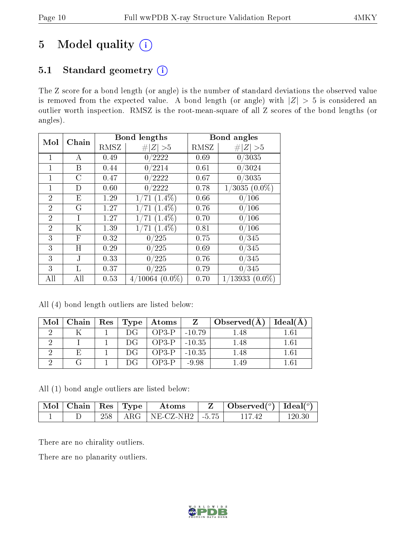# 5 Model quality  $(i)$

### 5.1 Standard geometry (i)

The Z score for a bond length (or angle) is the number of standard deviations the observed value is removed from the expected value. A bond length (or angle) with  $|Z| > 5$  is considered an outlier worth inspection. RMSZ is the root-mean-square of all Z scores of the bond lengths (or angles).

| Mol            | Chain | Bond lengths |                   |      | Bond angles      |
|----------------|-------|--------------|-------------------|------|------------------|
|                |       | RMSZ         | # $ Z  > 5$       | RMSZ | # $ Z  > 5$      |
| 1              | А     | 0.49         | 0/2222            | 0.69 | 0/3035           |
|                | Β     | 0.44         | 0/2214            | 0.61 | 0/3024           |
| 1              | C     | 0.47         | 0/2222            | 0.67 | 0/3035           |
| $\mathbf{1}$   | D     | 0.60         | 0/2222            | 0.78 | $(3035)(0.0\%)$  |
| $\overline{2}$ | Ε     | 1.29         | $71(1.4\%)$       | 0.66 | 0/106            |
| $\overline{2}$ | G     | 1.27         | $(1.4\%)$<br>71   | 0.76 | 0/106            |
| $\overline{2}$ | T     | 1.27         | $(1.4\%)$<br>71   | 0.70 | 0/106            |
| $\overline{2}$ | Κ     | 1.39         | $(1.4\%)$<br>71   | 0.81 | 0/106            |
| 3              | F     | 0.32         | 0/225             | 0.75 | 0/345            |
| 3              | Η     | 0.29         | 0/225             | 0.69 | 0/345            |
| 3              | J.    | 0.33         | 0/225             | 0.76 | 0/345            |
| 3              | L     | 0.37         | 0/225             | 0.79 | 0/345            |
| All            | All   | 0.53         | $4/10064~(0.0\%)$ | 0.70 | $1/13933(0.0\%)$ |

All (4) bond length outliers are listed below:

| Mol | ⊢Chain∣ | $\vert$ Res $\vert$ |     | $Type  $ Atoms $ $ |         | $\Box$ Observed(A) | Ideal(A) |
|-----|---------|---------------------|-----|--------------------|---------|--------------------|----------|
|     |         |                     | DG  | $OP3-P$   -10.79   |         | 1.48               | 1.61     |
|     |         |                     | DG. | $OP3-P$   -10.35   |         | 1.48               | 1.61     |
|     |         |                     | DG. | $OP3-P$   -10.35   |         | $1.48\,$           | $1.61\,$ |
|     |         |                     | DG  | OP3-P-             | $-9.98$ |                    | $1.61\,$ |

All (1) bond angle outliers are listed below:

| $\sqrt{\text{Mol}}$ Chain   Res   Type <sup>+</sup> |     | Atoms                                       | Observed( $^{\circ}$ )   Ideal( $^{\circ}$ ) |        |
|-----------------------------------------------------|-----|---------------------------------------------|----------------------------------------------|--------|
|                                                     | 258 | $\vert$ ARG $\vert$ NE-CZ-NH2 $\vert$ -5.75 |                                              | 120.30 |

There are no chirality outliers.

There are no planarity outliers.

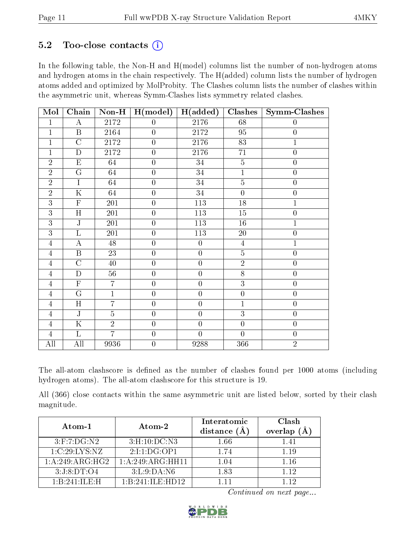### 5.2 Too-close contacts  $(i)$

In the following table, the Non-H and H(model) columns list the number of non-hydrogen atoms and hydrogen atoms in the chain respectively. The H(added) column lists the number of hydrogen atoms added and optimized by MolProbity. The Clashes column lists the number of clashes within the asymmetric unit, whereas Symm-Clashes lists symmetry related clashes.

| Mol            | Chain                   | $Non-H$         | H (model)        | H(added)         | Clashes          | <b>Symm-Clashes</b> |
|----------------|-------------------------|-----------------|------------------|------------------|------------------|---------------------|
| $\overline{1}$ | $\bf{A}$                | 2172            | $\overline{0}$   | 2176             | 68               | $\overline{0}$      |
| $\mathbf{1}$   | $\overline{B}$          | 2164            | $\overline{0}$   | 2172             | 95               | $\overline{0}$      |
| $\mathbf 1$    | $\overline{\rm C}$      | 2172            | $\overline{0}$   | 2176             | 83               | $\mathbf{1}$        |
| $\overline{1}$ | $\overline{D}$          | 2172            | $\overline{0}$   | 2176             | 71               | $\overline{0}$      |
| $\overline{2}$ | ${\rm E}$               | 64              | $\overline{0}$   | 34               | $\overline{5}$   | $\boldsymbol{0}$    |
| $\overline{2}$ | G                       | 64              | $\overline{0}$   | 34               | $\overline{1}$   | $\boldsymbol{0}$    |
| $\overline{2}$ | I                       | 64              | $\boldsymbol{0}$ | $34\,$           | $\overline{5}$   | $\boldsymbol{0}$    |
| $\overline{2}$ | $\mathbf K$             | 64              | $\overline{0}$   | 34               | $\overline{0}$   | $\boldsymbol{0}$    |
| $\overline{3}$ | $\overline{\mathrm{F}}$ | $20\sqrt{1}$    | $\overline{0}$   | 113              | $18\,$           | $\mathbf{1}$        |
| 3              | H                       | $20\sqrt{1}$    | $\overline{0}$   | 113              | $15\,$           | $\boldsymbol{0}$    |
| $\overline{3}$ | $\overline{\text{J}}$   | $20\sqrt{1}$    | $\overline{0}$   | 113              | 16               | $\mathbf{1}$        |
| $\overline{3}$ | $\overline{\mathrm{L}}$ | $20\sqrt{1}$    | $\overline{0}$   | 113              | $20\,$           | $\overline{0}$      |
| $\overline{4}$ | $\overline{A}$          | $\overline{48}$ | $\overline{0}$   | $\overline{0}$   | $\overline{4}$   | $\overline{1}$      |
| $\overline{4}$ | $\overline{B}$          | 23              | $\boldsymbol{0}$ | $\boldsymbol{0}$ | $\overline{5}$   | $\boldsymbol{0}$    |
| $\overline{4}$ | $\overline{C}$          | 40              | $\boldsymbol{0}$ | $\overline{0}$   | $\sqrt{2}$       | $\boldsymbol{0}$    |
| $\overline{4}$ | ${\rm D}$               | 56              | $\boldsymbol{0}$ | $\boldsymbol{0}$ | $\overline{8}$   | $\boldsymbol{0}$    |
| $\overline{4}$ | ${\bf F}$               | $\overline{7}$  | $\boldsymbol{0}$ | $\overline{0}$   | 3                | $\boldsymbol{0}$    |
| $\overline{4}$ | $\overline{G}$          | $\mathbf{1}$    | $\boldsymbol{0}$ | $\boldsymbol{0}$ | $\boldsymbol{0}$ | $\boldsymbol{0}$    |
| $\overline{4}$ | H                       | $\overline{7}$  | $\boldsymbol{0}$ | $\overline{0}$   | $\overline{1}$   | $\overline{0}$      |
| $\overline{4}$ | $\mathbf J$             | $\overline{5}$  | $\boldsymbol{0}$ | $\overline{0}$   | $\overline{3}$   | $\overline{0}$      |
| $\overline{4}$ | $\overline{\mathrm{K}}$ | $\overline{2}$  | $\boldsymbol{0}$ | $\overline{0}$   | $\overline{0}$   | $\overline{0}$      |
| $\overline{4}$ | $\mathbf{L}$            | $\overline{7}$  | $\boldsymbol{0}$ | $\overline{0}$   | $\overline{0}$   | $\overline{0}$      |
| All            | All                     | 9936            | $\boldsymbol{0}$ | 9288             | 366              | $\overline{2}$      |

The all-atom clashscore is defined as the number of clashes found per 1000 atoms (including hydrogen atoms). The all-atom clashscore for this structure is 19.

All (366) close contacts within the same asymmetric unit are listed below, sorted by their clash magnitude.

| Atom-1                                        | Atom-2           | Interatomic<br>distance $(A)$ | Clash<br>overlap<br>(Å |
|-----------------------------------------------|------------------|-------------------------------|------------------------|
| $3:$ F:7:DG:N2                                | 3: H: 10: DC: N3 | 1.66                          | 1.41                   |
| 1:C:29:LYS:NZ                                 | 2:1:1:DG:OP1     | 1.74                          | 1 19                   |
| 1:A:249:ARG:HG2                               | 1:A:249:ARG:HH11 | 1.04                          | 1.16                   |
| 3:J:8:DT:O4                                   | 3: L:9:DA:NG     | 1.83                          | 1 1 2                  |
| $1 \cdot B \cdot 241 \cdot H \cdot F \cdot H$ | 1:B:241:ILE:HD12 | 1 11                          | 112                    |

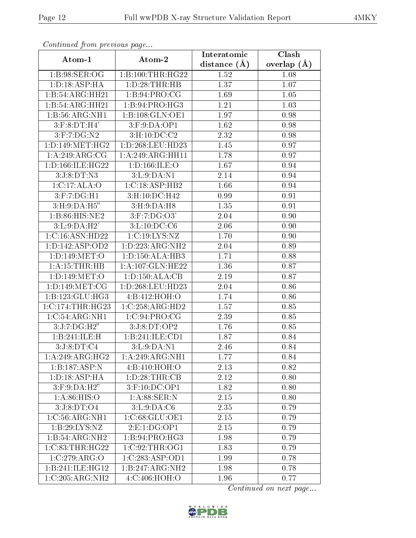| Conningea from previous page         |                             | Interatomic      | $\overline{\text{Clash}}$ |
|--------------------------------------|-----------------------------|------------------|---------------------------|
| Atom-1                               | Atom-2                      | distance $(\AA)$ | overlap $(\AA)$           |
| 1:B:98:SER:OG                        | 1:B:100:THR:HG22            | 1.52             | 1.08                      |
| 1: D: 18: ASP:HA                     | 1:D:28:THR:HB               | 1.37             | 1.07                      |
| 1:B:54:ARG:HH21                      | 1: B:94: PRO:CG             | 1.69             | 1.05                      |
| 1:B:54:ARG:HH21                      | 1:B:94:PRO:HG3              | 1.21             | 1.03                      |
| 1:B:56:ARG:NH1                       | 1:B:108:GLN:OE1             | 1.97             | 0.98                      |
| $3:$ F: $8:DT:H4'$                   | 3: F: 9: DA: OP1            | 1.62             | 0.98                      |
| 3:F:7:DG:N2                          | 3:H:10:DC:C2                | 2.32             | 0.98                      |
| 1: D: 149: MET: HG2                  | 1:D:268:LEU:HD23            | 1.45             | 0.97                      |
| 1:A:249:ARG:CG                       | 1:A:249:ARG:HH11            | 1.78             | 0.97                      |
| 1:D:166:ILE:HG22                     | 1: D: 166: ILE: O           | 1.67             | 0.94                      |
| 3:J:8:DT:N3                          | 3:L:9:DA:N1                 | 2.14             | 0.94                      |
| 1:C:17:ALA:O                         | 1:C:18:ASP:HB2              | 1.66             | 0.94                      |
| $3:$ F:7:DG:H1                       | 3:H:10:DC:H42               | 0.99             | 0.91                      |
| 3: H: 9: DA: H5"                     | 3: H: 9: DA: H8             | 1.35             | 0.91                      |
| 1:B:86:HIS:NE2                       | $3:$ F:7:DG:O3'             | 2.04             | 0.90                      |
| 3:L:9:DA:H2'                         | 3: L: 10: DC: C6            | 2.06             | 0.90                      |
| 1:C:16:ASN:HD22                      | 1:C:19:LYS:NZ               | 1.70             | 0.90                      |
| 1: D: 142: ASP: OD2                  | 1: D: 223: ARG: NH2         | 2.04             | 0.89                      |
| 1:D:149:MET:O                        | 1: D: 150: ALA: HB3         | 1.71             | 0.88                      |
| 1:A:15:THR:HB                        | 1:A:107:GLN:HE22            | 1.36             | 0.87                      |
| 1: D: 149: MET:O                     | 1: D: 150: ALA: CB          | 2.19             | 0.87                      |
| 1: D: 149: MET: CG                   | 1:D:268:LEU:HD23            | 2.04             | 0.86                      |
| 1:B:123:GLU:HG3                      | 4:B:412:HOH:O               | 1.74             | 0.86                      |
| $1:C:174:\overline{\text{THR:HG23}}$ | 1:C:258:ARG:HD2             | 1.57             | 0.85                      |
| 1:C:54:ARG:NH1                       | 1:C:94:PRO:CG               | 2.39             | 0.85                      |
| 3:J:7:DG:H2"                         | 3:J:8:DT:OP2                | 1.76             | 0.85                      |
| 1:B:241:ILE:H                        | 1:B:241:ILE:CD1             | 1.87             | 0.84                      |
| 3:J:8:DT:C4                          | $3: L: 9: \overline{DA:N1}$ | 2.46             | 0.84                      |
| 1:A:249:ARG:HG2                      | 1: A:249:ARG:NH1            | 1.77             | 0.84                      |
| 1:B:187:ASP:N                        | 4:B:410:HOH:O               | 2.13             | 0.82                      |
| 1: D: 18: ASP: HA                    | 1: D:28:THR:CB              | 2.12             | 0.80                      |
| $3:$ F: $9:DA:$ H $2"$               | 3:F:10:DC:OP1               | 1.82             | 0.80                      |
| 1: A:86: HIS:O                       | 1:A:88:SER:N                | 2.15             | 0.80                      |
| 3:J:8:DT:O4                          | 3: L: 9: DA: C6             | 2.35             | 0.79                      |
| 1:C:56:ARG:NH1                       | 1:C:68:GLU:OE1              | 2.15             | 0.79                      |
| 1:B:29:LYS:NZ                        | 2: E: 1: DG: OP1            | 2.15             | 0.79                      |
| 1:B:54:ARG:NH2                       | 1: B:94: PRO:HG3            | 1.98             | 0.79                      |
| 1:C:83:THR:HG22                      | 1:C:92:THR:OG1              | 1.83             | 0.79                      |
| 1:C:279:ARG:O                        | 1:C:283:ASP:OD1             | 1.99             | 0.78                      |
| 1:B:241:ILE:HG12                     | 1:B:247:ARG:NH2             | 1.98             | 0.78                      |
| 1:C:205:ARG:NH2                      | 4:C:406:HOH:O               | 1.96             | 0.77                      |

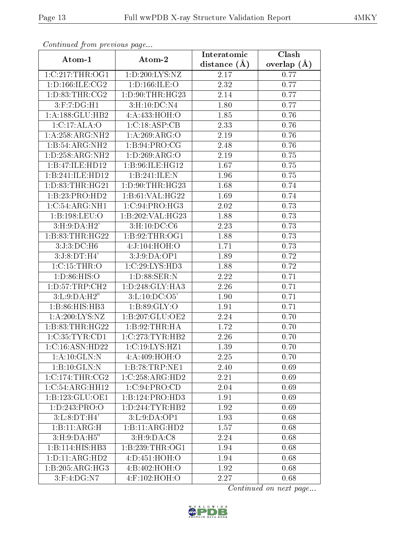| Continuea from previous page         |                     | Interatomic      | Clash         |
|--------------------------------------|---------------------|------------------|---------------|
| Atom-1                               | Atom-2              | distance $(\AA)$ | overlap $(A)$ |
| 1:C:217:THR:OG1                      | 1:D:200:LYS:NZ      | 2.17             | 0.77          |
| 1: D: 166: ILE: CG2                  | 1: D: 166: ILE: O   | 2.32             | 0.77          |
| 1: D: 83: THR: CG2                   | 1: D: 90: THR: HG23 | 2.14             | 0.77          |
| 3:F:7:DG:H1                          | 3:H:10:DC:N4        | 1.80             | 0.77          |
| 1:A:188:GLU:HB2                      | 4:A:433:HOH:O       | 1.85             | 0.76          |
| 1:C:17:ALA:O                         | 1:C:18:ASP:CB       | 2.33             | 0.76          |
| 1: A:258:ARG:NH2                     | 1: A:269: ARG:O     | 2.19             | 0.76          |
| 1:B:54:ARG:NH2                       | 1: B:94: PRO:CG     | 2.48             | 0.76          |
| 1: D: 258: ARG: NH2                  | 1: D:269: ARG:O     | $2.19\,$         | 0.75          |
| 1:B:47:ILE:HD12                      | 1:B:96:ILE:HG12     | 1.67             | 0.75          |
| 1:B:241:ILE:HD12                     | 1:B:241:ILE:N       | 1.96             | 0.75          |
| 1: D: 83: THR: HG21                  | 1: D:90: THR: HG23  | 1.68             | 0.74          |
| 1:B:23:PRO:HD2                       | 1:B:61:VAL:HG22     | 1.69             | 0.74          |
| $1:C:54:A\overline{\mathrm{RG:NH1}}$ | 1:C:94:PRO:HG3      | 2.02             | 0.73          |
| 1:B:198:LEU:O                        | 1:B:202:VAL:HG23    | 1.88             | 0.73          |
| 3: H:9:DA:H2'                        | 3:H:10:DC:C6        | 2.23             | 0.73          |
| 1:B:83:THR:HG22                      | 1:B:92:THR:OG1      | 1.88             | 0.73          |
| 3:J:3:DC:H6                          | 4:J:104:HOH:O       | 1.71             | 0.73          |
| 3:J:8:DT:H4'                         | 3:J:9:DA:OP1        | 1.89             | 0.72          |
| 1:C:15:THR:O                         | 1:C:29:LYS:HD3      | 1.88             | 0.72          |
| 1: D:86: HIS:O                       | 1:D:88:SER:N        | 2.22             | 0.71          |
| 1:D:57:TRP:CH2                       | 1:D:248:GLY:HA3     | 2.26             | 0.71          |
| 3:L:9:DA:H2"                         | 3: L: 10: DC: O5'   | 1.90             | 0.71          |
| 1:B:86:HIS:HB3                       | 1: B:89: GLY:O      | 1.91             | 0.71          |
| 1:A:200:LYS:NZ                       | 1:B:207:GLU:OE2     | 2.24             | 0.70          |
| 1:B:83:THR:HG22                      | 1:B:92:THR:HA       | 1.72             | 0.70          |
| 1:C:35:TYR:CD1                       | 1:C:273:TYR:HB2     | 2.26             | 0.70          |
| 1:C:16:ASN:HD22                      | 1:C:19:LYS:HZ1      | 1.39             | 0.70          |
| 1:A:10:GLN:N                         | 4:A:409:HOH:O       | 2.25             | 0.70          |
| 1:B:10:GLN:N                         | 1:B:78:TRP:NE1      | 2.40             | 0.69          |
| 1:C:174:THR:CG2                      | 1:C:258:ARG:HD2     | 2.21             | 0.69          |
| 1:C:54:ARG:HH12                      | 1:C:94:PRO:CD       | 2.04             | 0.69          |
| 1:B:123:GLU:OE1                      | 1:B:124:PRO:HD3     | 1.91             | 0.69          |
| 1: D: 243: PRO: O                    | 1: D: 244: TYR: HB2 | 1.92             | 0.69          |
| 3: L: 8: DT:H4'                      | 3: L: 9: DA: OP1    | 1.93             | 0.68          |
| 1:B:11:ARG:H                         | 1:B:11:ARG:HD2      | 1.57             | 0.68          |
| 3: H: 9: DA: H5"                     | 3: H:9:DA:C8        | 2.24             | 0.68          |
| $1:B:114:H1\overline{S:HB3}$         | 1:B:239:THR:OG1     | 1.94             | 0.68          |
| 1: D: 11: ARG: HD2                   | 4:D:451:HOH:O       | 1.94             | 0.68          |
| 1:B:205:ARG:HG3                      | 4:B:402:HOH:O       | 1.92             | 0.68          |
| $3:$ F:4:DG:N7                       | 4:F:102:HOH:O       | 2.27             | 0.68          |

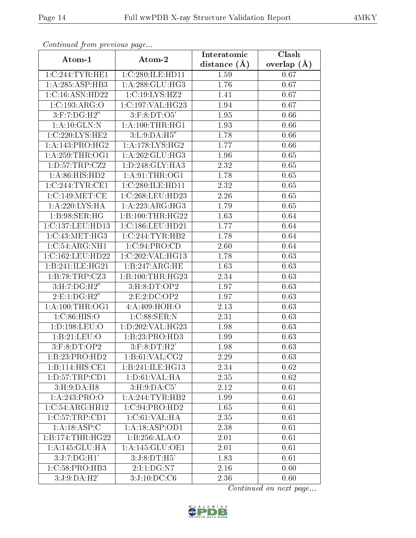| Continuea from previous page |                     | Interatomic       | Clash         |
|------------------------------|---------------------|-------------------|---------------|
| Atom-1                       | Atom-2              | distance $(A)$    | overlap $(A)$ |
| 1:C:244:TYR:HE1              | 1:C:280:ILE:HD11    | 1.59              | 0.67          |
| 1:A:285:ASP:HB3              | 1: A:288: GLU:HG3   | 1.76              | 0.67          |
| 1:C:16:ASN:HD22              | 1:C:19:LYS:HZ2      | 1.41              | 0.67          |
| 1:C:193:ARG:O                | 1:C:197:VAL:HG23    | 1.94              | 0.67          |
| $3:$ F:7:DG:H2"              | $3:$ F: $8:DT:O5'$  | 1.95              | 0.66          |
| 1:A:10:GLN:N                 | 1: A:100:THR:HG1    | 1.93              | 0.66          |
| 1:C:220:LYS:HE2              | 3:L:9:DA:H5"        | 1.78              | 0.66          |
| 1:A:143:PRO:HG2              | 1: A: 178: LYS: HG2 | 1.77              | 0.66          |
| 1: A:259:THR:OG1             | 1: A:262: GLU:HG3   | 1.96              | 0.65          |
| 1: D: 57: TRP: CZ2           | 1:D:248:GLY:HA3     | 2.32              | 0.65          |
| 1: A:86: HIS: HD2            | 1: A:91:THR:OG1     | 1.78              | 0.65          |
| 1:C:244:TYR:CE1              | 1:C:280:ILE:HD11    | 2.32              | 0.65          |
| 1:C:149:MET:CE               | 1:C:268:LEU:HD23    | 2.26              | 0.65          |
| 1: A:220: LYS: HA            | 1:A:223:ARG:HG3     | 1.79              | 0.65          |
| 1:B:98:SER:HG                | 1:B:100:THR:HG22    | 1.63              | 0.64          |
| 1:C:137:LEU:HD13             | 1:C:186:LEU:HD21    | 1.77              | 0.64          |
| 1:C:43:MET:HG3               | 1:C:244:TYR:HB2     | $\overline{1.78}$ | 0.64          |
| 1:C:54:ARG:NH1               | 1:C:94:PRO:CD       | 2.60              | 0.64          |
| 1:C:162:LEU:HD22             | 1:C:202:VAL:HG13    | 1.78              | 0.63          |
| 1:B:241:ILE:HG21             | 1: B: 247: ARG: HE  | 1.63              | 0.63          |
| 1:B:78:TRP:CZ3               | 1:B:100:THR:HG23    | 2.34              | 0.63          |
| 3: H: 7: DG:H2"              | 3:H:8:DT:OP2        | 1.97              | 0.63          |
| 2: E: 1: DG:H2"              | 2:E:2:DC:OP2        | 1.97              | 0.63          |
| 1: A:100:THR:OG1             | 4:A:409:HOH:O       | 2.13              | 0.63          |
| 1:C:86:HIS:O                 | 1: C:88: SER: N     | 2.31              | 0.63          |
| 1: D: 198: LEU: O            | 1:D:202:VAL:HG23    | 1.98              | 0.63          |
| 1:B:21:LEU:O                 | 1:B:23:PRO:HD3      | 1.99              | 0.63          |
| $3:$ F: $8:DT:OP2$           | $3:$ F:8:DT:H2'     | 1.98              | 0.63          |
| 1:B:23:PRO:HD2               | 1:B:61:VAL:CG2      | 2.29              | 0.63          |
| 1:B:114:HIS:CE1              | 1:B:241:ILE:HG13    | 2.34              | 0.62          |
| 1:D:57:TRP:CD1               | 1: D:61: VAL:HA     | 2.35              | 0.62          |
| 3:H:9:DA:H8                  | 3: H: 9: DA: C5'    | 2.12              | 0.61          |
| 1:A:243:PRO:O                | 1: A: 244: TYR: HB2 | 1.99              | 0.61          |
| 1:C:54:ARG:HH12              | 1:C:94:PRO:HD2      | 1.65              | 0.61          |
| 1:C:57:TRP:CD1               | 1:C:61:VAL:HA       | 2.35              | 0.61          |
| 1: A: 18: ASP:C              | 1:A:18:ASP:OD1      | 2.38              | 0.61          |
| 1:B:174:THR:HG22             | 1:B:256:ALA:O       | 2.01              | 0.61          |
| 1:A:145:GLU:HA               | 1:A:145:GLU:OE1     | 2.01              | 0.61          |
| 3:J:7:DG:H1'                 | 3:J:8:DT:H5'        | 1.83              | 0.61          |
| $1:C:58:P\overline{RO:HB3}$  | 2:1:1:DG:NT         | 2.16              | 0.60          |
| 3:J:9:DA:H2'                 | 3:J:10:DC:C6        | 2.36              | 0.60          |

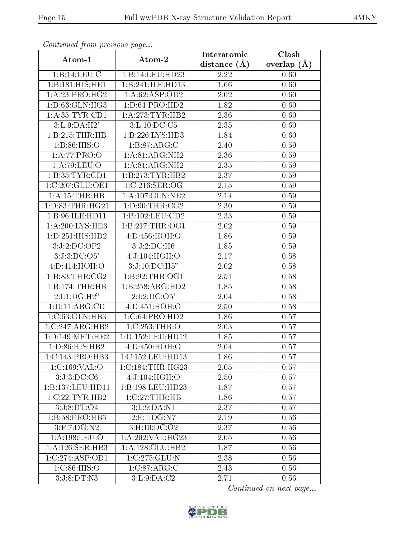| Continuatu jibin previous puge         |                      | Interatomic       | Clash         |
|----------------------------------------|----------------------|-------------------|---------------|
| Atom-1                                 | Atom-2               | distance $(\AA)$  | overlap $(A)$ |
| 1:B:14:LEU:C                           | 1:B:14:LEU:HD23      | 2.22              | 0.60          |
| 1:B:181:HIS:HE1                        | 1:B:241:ILE:HD13     | $\overline{1.66}$ | 0.60          |
| 1: A:23: PRO:HG2                       | 1: A:62: ASP:OD2     | $2.02\,$          | 0.60          |
| 1: D: 63: GLN: HG3                     | 1: D:64: PRO:HD2     | 1.82              | 0.60          |
| 1: A:35:TYR:CD1                        | 1: A:273:TYR:HB2     | 2.36              | 0.60          |
| 3:L:9:DA:H2'                           | 3:L:10:DC:C5         | 2.35              | 0.60          |
| 1:B:215:THR:HB                         | 1:B:226:LYS:HD3      | 1.84              | 0.60          |
| 1: B:86: HIS:O                         | 1: B:87: ARG: C      | 2.40              | 0.59          |
| 1:A:77:PRO:O                           | 1: A:81: ARG: NH2    | 2.36              | 0.59          |
| 1: A:79: LEU:O                         | 1: A:81: ARG: NH2    | 2.35              | 0.59          |
| 1:B:35:TYR:CD1                         | 1:B:273:TYR:HB2      | 2.37              | 0.59          |
| 1:C:207:GLU:OE1                        | 1:C:216:SER:OG       | 2.15              | 0.59          |
| 1:A:15:THR:HB                          | 1: A: 107: GLN: NE2  | 2.14              | 0.59          |
| 1: D: 83: THR: HG21                    | 1: D:90: THR: CG2    | 2.30              | 0.59          |
| 1:B:96:ILE:HD11                        | 1:B:102:LEU:CD2      | 2.33              | 0.59          |
| 1:A:200:LYS:HE3                        | 1: B: 217: THR: OG1  | 2.02              | 0.59          |
| 1:D:251:HIS:HD2                        | 4:D:456:HOH:O        | 1.86              | 0.59          |
| 3:J:2:DC:OP2                           | 3:J:2:DC:H6          | 1.85              | 0.59          |
| 3:J:3:D <sub>C</sub> :O <sub>5</sub> ' | 4:J:104:HOH:O        | 2.17              | 0.58          |
| 4: D: 414: HOH: O                      | 3:J:10:DC:H5"        | 2.02              | 0.58          |
| 1: B:83:THR:CG2                        | 1: B:92:THR:OG1      | 2.51              | 0.58          |
| 1:B:174:THR:HB                         | 1:B:258:ARG:HD2      | 1.85              | 0.58          |
| 2:1:1:DG:H2"                           | 2:1:2:DC:O5'         | 2.04              | 0.58          |
| 1: D: 11: ARG: CD                      | 4: D: 451: HOH: O    | 2.50              | 0.58          |
| 1:C:63:GLN:HB3                         | 1:C:64:PRO:HD2       | 1.86              | 0.57          |
| 1:C:247:ARG:HB2                        | $1:C:253$ : THR: O   | 2.03              | 0.57          |
| 1: D: 149: MET: HE2                    | 1: D: 152: LEU: HD12 | 1.85              | 0.57          |
| 1: D: 86: HIS: HB2                     | 4:D:450:HOH:O        | 2.04              | 0.57          |
| 1:C:143:PRO:HB3                        | 1:C:152:LEU:HD13     | 1.86              | 0.57          |
| 1:C:169:VAL:O                          | 1:C:184:THR:HG23     | 2.05              | 0.57          |
| 3:J:3:DC:C6                            | 4:J:104:HOH:O        | 2.50              | 0.57          |
| 1:B:137:LEU:HD11                       | 1:B:198:LEU:HD23     | 1.87              | 0.57          |
| 1:C:22:TYR:HB2                         | 1:C:27:THR:HB        | 1.86              | 0.57          |
| 3:J:8:DT:O4                            | 3:L:9:DA:N1          | 2.37              | 0.57          |
| 1:B:58:PRO:HB3                         | 2:E:1:DG:N7          | 2.19              | 0.56          |
| $3:$ F:7:DG:N2                         | 3:H:10:DC:O2         | 2.37              | 0.56          |
| 1:A:198:LEU:O                          | 1:A:202:VAL:HG23     | 2.05              | 0.56          |
| 1:A:126:SER:HB3                        | 1: A: 128: GLU: HB2  | 1.87              | 0.56          |
| 1:C:274:ASP:OD1                        | 1:C:275:GLU:N        | 2.38              | 0.56          |
| 1: C:86: HIS:O                         | 1:C:87:ARG:C         | 2.43              | 0.56          |
| 3:J:8:DT:N3                            | 3: L: 9: DA: C2      | 2.71              | 0.56          |

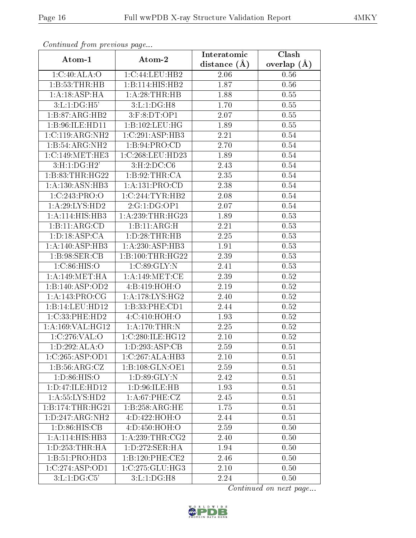| Continuea from previous page |                                    | Interatomic    | Clash         |
|------------------------------|------------------------------------|----------------|---------------|
| Atom-1                       | Atom-2                             | distance $(A)$ | overlap $(A)$ |
| 1:C:40:ALA:O                 | 1:C:44:LEU:HB2                     | 2.06           | 0.56          |
| 1:B:53:THR:HB                | 1:B:114:HIS:HB2                    | 1.87           | 0.56          |
| 1:A:18:ASP:HA                | 1:A:28:THR:HB                      | 1.88           | 0.55          |
| 3: L: 1: DG:H5'              | 3:L:1:DG:H8                        | 1.70           | 0.55          |
| 1:B:87:ARG:HB2               | $3:$ F: $8:DT:OP1$                 | 2.07           | 0.55          |
| 1:B:96:ILE:HD11              | 1:B:102:LEU:HG                     | 1.89           | 0.55          |
| 1:C:119:ARG:NH2              | 1:C:291:ASP:HB3                    | 2.21           | 0.54          |
| $1:B:54:ARG:N\overline{H2}$  | 1: B:94: PRO:CD                    | 2.70           | 0.54          |
| 1:C:149:MET:HE3              | 1:C:268:LEU:HD23                   | 1.89           | 0.54          |
| 3: H: 1: DG:H2'              | 3: H: 2: DC: C6                    | 2.43           | 0.54          |
| 1:B:83:THR:HG22              | 1:B:92:THR:CA                      | 2.35           | 0.54          |
| 1:A:130:ASN:HB3              | 1:A:131:PRO:CD                     | 2.38           | 0.54          |
| 1:C:243:PRO:O                | 1:C:244:TYR:HB2                    | 2.08           | 0.54          |
| 1:A:29:LYS:HD2               | 2:G:1:DG:OP1                       | 2.07           | 0.54          |
| 1:A:114:HIS:HB3              | 1: A:239:THR:HG23                  | 1.89           | 0.53          |
| 1:B:11:ARG:CD                | 1:B:11:ARG:H                       | 2.21           | 0.53          |
| 1: D: 18: ASP: CA            | 1: D: 28: THR: HB                  | 2.25           | 0.53          |
| 1:A:140:ASP:HB3              | 1:A:230:ASP:HB3                    | 1.91           | 0.53          |
| 1: B:98: SER:CB              | 1:B:100:THR:HG22                   | 2.39           | 0.53          |
| 1: C:86: HIS:O               | 1:C:89:GLY:N                       | 2.41           | 0.53          |
| 1: A:149: MET:HA             | 1: A:149:MET:CE                    | 2.39           | 0.52          |
| 1:B:140:ASP:OD2              | 4:B:419:HOH:O                      | $2.19\,$       | 0.52          |
| 1: A:143: PRO:CG             | 1:A:178:LYS:HG2                    | 2.40           | 0.52          |
| 1:B:14:LEU:HD12              | 1:B:33:PHE:CD1                     | 2.44           | 0.52          |
| 1:C:33:PHE:HD2               | 4: C: 410: HOH: O                  | 1.93           | 0.52          |
| 1:A:169:VAL:HG12             | 1:A:170:THR:N                      | 2.25           | 0.52          |
| 1:C:276:VAL:O                | 1:C:280:ILE:HG12                   | 2.10           | 0.52          |
| 1:D:292:ALA:O                | $1:D:293:ASP:\overline{\text{CB}}$ | 2.59           | 0.51          |
| 1:C:265:ASP:OD1              | 1:C:267:ALA:HB3                    | 2.10           | 0.51          |
| 1:B:56:ARG:CZ                | 1:B:108:GLN:OE1                    | 2.59           | 0.51          |
| 1: D: 86: HIS: O             | 1: D:89: GLY:N                     | 2.42           | 0.51          |
| 1:D:47:ILE:HD12              | 1: D:96: ILE: HB                   | 1.93           | 0.51          |
| 1: A: 55: LYS: HD2           | 1: A:67:PHE:CZ                     | 2.45           | 0.51          |
| 1:B:174:THR:HG21             | 1:B:258:ARG:HE                     | 1.75           | 0.51          |
| 1: D: 247: ARG: NH2          | 4:D:422:HOH:O                      | 2.44           | 0.51          |
| 1: D:86: HIS: CB             | 4: D: 450: HOH: O                  | 2.59           | 0.50          |
| 1:A:114:HIS:HB3              | 1: A:239:THR:CG2                   | 2.40           | 0.50          |
| 1: D: 253: THR: HA           | 1:D:272:SER:HA                     | 1.94           | 0.50          |
| 1:B:51:PRO:HD3               | 1:B:120:PHE:CE2                    | 2.46           | 0.50          |
| 1:C:274:ASP:OD1              | 1:C:275:GLU:HG3                    | 2.10           | 0.50          |
| 3: L: 1: DG: C5'             | 3: L: 1: DG:H8                     | 2.24           | 0.50          |

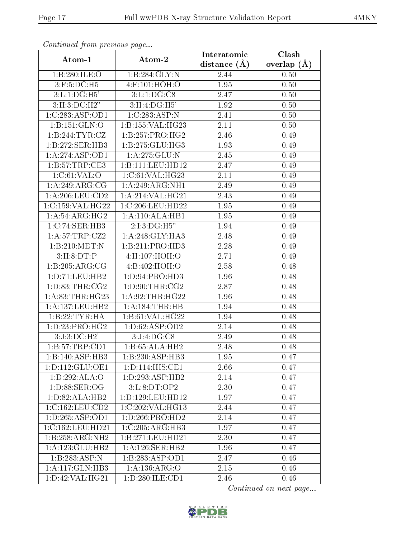| Conningea from previous page |                      | Interatomic    | Clash         |
|------------------------------|----------------------|----------------|---------------|
| Atom-1                       | Atom-2               | distance $(A)$ | overlap $(A)$ |
| 1:B:280:ILE:O                | 1:B:284:GLY:N        | 2.44           | 0.50          |
| $3:$ F:5:DC:H5               | $4:$ F:101:HOH:O     | 1.95           | 0.50          |
| 3: L: 1: DG:H5'              | 3: L: 1: DG: C8      | 2.47           | 0.50          |
| 3: H:3: DC:H2"               | 3: H: 4: DG:H5'      | 1.92           | 0.50          |
| 1:C:283:ASP:OD1              | 1:C:283:ASP:N        | 2.41           | 0.50          |
| 1:B:151:GLN:O                | 1: B:155: VAL:HG23   | 2.11           | 0.50          |
| 1:B:244:TYR:CZ               | 1:B:257:PRO:HG2      | 2.46           | 0.49          |
| 1:B:272:SER:HB3              | 1:B:275:GLU:HG3      | 1.93           | 0.49          |
| 1:A:274:ASP:OD1              | 1:A:275:GLU:N        | 2.45           | 0.49          |
| 1:B:57:TRP:CE3               | 1:B:111:LEU:HD12     | 2.47           | 0.49          |
| 1:C:61:VAL:O                 | 1:C:61:VAL:HG23      | 2.11           | 0.49          |
| 1:A:249:ARG:CG               | 1: A:249: ARG: NH1   | 2.49           | 0.49          |
| 1: A:206:LEU:CD2             | 1:A:214:VAL:HG21     | 2.43           | 0.49          |
| 1:C:159:VAL:HG22             | 1:C:206:LEU:HD22     | 1.95           | 0.49          |
| 1: A:54: ARG: HG2            | 1:A:110:ALA:HB1      | 1.95           | 0.49          |
| $1:C:74:SER:H\overline{B3}$  | 2:I:3:DG:H5"         | 1.94           | 0.49          |
| 1:A:57:TRP:CZ2               | 1:A:248:GLY:HA3      | 2.48           | 0.49          |
| 1:B:210:MET:N                | 1:B:211:PRO:HD3      | 2.28           | 0.49          |
| 3: H: 8: DT:P                | 4:H:107:HOH:O        | 2.71           | 0.49          |
| 1:B:205:ARG:CG               | 4:B:402:HOH:O        | 2.58           | 0.48          |
| 1: D: 71: LEU: HB2           | 1: D: 94: PRO: HD3   | 1.96           | 0.48          |
| 1: D: 83: THR: CG2           | 1: D:90: THR: CG2    | 2.87           | 0.48          |
| 1: A:83:THR:HG23             | 1: A:92:THR:HG22     | 1.96           | 0.48          |
| 1:A:137:LEU:HB2              | 1: A: 184: THR: HB   | 1.94           | 0.48          |
| 1:B:22:TYR:HA                | 1: B:61: VAL:HG22    | 1.94           | 0.48          |
| 1: D: 23: PRO: HG2           | 1: D:62: ASP:OD2     | 2.14           | 0.48          |
| 3:J:3:D C:H2'                | 3:J:4:DG:CS          | 2.49           | 0.48          |
| 1:B:57:TRP:CD1               | 1:B:65:ALA:HB2       | 2.48           | 0.48          |
| 1:B:140:ASP:HB3              | 1:B:230:ASP:HB3      | 1.95           | 0.47          |
| 1: D: 112: GLU: OE1          | 1: D: 114: HIS: CE1  | 2.66           | 0.47          |
| 1:D:292:ALA:O                | 1:D:293:ASP:HB2      | 2.14           | 0.47          |
| 1: D: 88: SER: OG            | 3:L:8:DT:OP2         | 2.30           | 0.47          |
| 1: D:82: ALA:HB2             | 1: D: 129: LEU: HD12 | 1.97           | 0.47          |
| 1:C:162:LEU:CD2              | 1:C:202:VAL:HG13     | 2.44           | 0.47          |
| 1: D: 265: ASP: OD1          | 1: D: 266: PRO: HD2  | 2.14           | 0.47          |
| 1:C:162:LEU:HD21             | 1:C:205:ARG:HB3      | 1.97           | 0.47          |
| 1:B:258:ARG:NH2              | 1:B:271:LEU:HD21     | 2.30           | 0.47          |
| 1: A: 123: GLU: HB2          | 1:A:126:SER:HB2      | 1.96           | 0.47          |
| 1:B:283:ASP:N                | 1:B:283:ASP:OD1      | 2.47           | 0.46          |
| 1: A:117: GLN:HB3            | 1: A: 136: ARG: O    | 2.15           | 0.46          |
| 1: D: 42: VAL: HG21          | 1: D:280: ILE: CD1   | 2.46           | 0.46          |

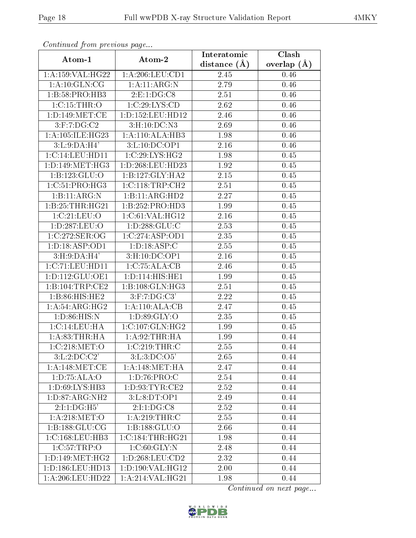| Commaca jibin previous page       |                      | Interatomic      | Clash         |  |
|-----------------------------------|----------------------|------------------|---------------|--|
| Atom-1                            | Atom-2               | distance $(\AA)$ | overlap $(A)$ |  |
| 1:A:159:VAL:HG22                  | 1: A:206:LEU:CD1     | 2.45             | 0.46          |  |
| 1:A:10:GLN:CG                     | 1: A:11: ARG: N      | 2.79             | 0.46          |  |
| 1: B:58: PRO:HB3                  | 2:E:1:DG:CS          | 2.51             | 0.46          |  |
| 1:C:15:THR:O                      | 1:C:29:LYS:CD        | 2.62             | 0.46          |  |
| 1: D: 149: MET: CE                | 1: D: 152: LEU: HD12 | 2.46             | 0.46          |  |
| $3:$ F:7:D $G:C2$                 | 3: H: 10: DC: N3     | 2.69             | 0.46          |  |
| 1:A:105:ILE:HG23                  | 1:A:110:ALA:HB3      | 1.98             | 0.46          |  |
| 3: L: 9: DA: H4'                  | 3:L:10:DC:OP1        | 2.16             | 0.46          |  |
| 1:C:14:LEU:HD11                   | 1:C:29:LYS:HG2       | 1.98             | 0.45          |  |
| 1: D: 149: MET:HG3                | 1:D:268:LEU:HD23     | 1.92             | 0.45          |  |
| 1:B:123:GLU:O                     | 1:B:127:GLY:HA2      | 2.15             | 0.45          |  |
| 1:C:51:PRO:HG3                    | 1:C:118:TRP:CH2      | 2.51             | 0.45          |  |
| $1:B:11: \overline{\text{ARG}:N}$ | 1:B:11:ARG:HD2       | 2.27             | 0.45          |  |
| 1:B:25:THR:HG21                   | 1:B:252:PRO:HD3      | 1.99             | 0.45          |  |
| 1:C:21:LEU:O                      | 1:C:61:VAL:HG12      | 2.16             | 0.45          |  |
| 1:D:287:LEU:O                     | 1: D: 288: GLU: C    | 2.53             | 0.45          |  |
| 1:C:272:SER:OG                    | 1:C:274:ASP:OD1      | 2.35             | 0.45          |  |
| 1: D: 18: ASP: OD1                | 1: D: 18: ASP: C     | 2.55             | 0.45          |  |
| 3:H:9:DA:H4'                      | 3:H:10:DC:OP1        | 2.16             | 0.45          |  |
| 1:C:71:LEU:HD11                   | 1:C:75:ALA:CB        | 2.46             | 0.45          |  |
| 1: D: 112: GLU: OE1               | 1:D:114:HIS:HE1      | 1.99             | 0.45          |  |
| 1:B:104:TRP:CE2                   | 1:B:108:GLN:HG3      | 2.51             | 0.45          |  |
| 1:B:86:HIS:HE2                    | $3:$ F:7:DG:C3'      | 2.22             | 0.45          |  |
| 1: A:54: ARG: HG2                 | 1:A:110:ALA:CB       | 2.47             | 0.45          |  |
| 1: D:86: HIS:N                    | 1: D:89: GLY:O       | 2.35             | 0.45          |  |
| 1:C:14:LEU:HA                     | 1:C:107:GLN:HG2      | 1.99             | 0.45          |  |
| 1: A:83:THR:HA                    | 1: A:92:THR:HA       | 1.99             | 0.44          |  |
| 1:C:218:MET:O                     | 1:C:219:THR:C        | 2.55             | 0.44          |  |
| 3: L: 2: DC: C2'                  | 3: L: 3: DC: O5'     | 2.65             | 0.44          |  |
| 1: A:148:MET:CE                   | 1: A:148:MET:HA      | 2.47             | 0.44          |  |
| 1: D: 75: ALA: O                  | 1: D: 76: PRO: C     | 2.54             | 0.44          |  |
| 1:D:69:LYS:HB3                    | 1: D: 93: TYR: CE2   | 2.52             | 0.44          |  |
| 1: D: 87: ARG: NH2                | 3:L:8:DT:OP1         | 2.49             | 0.44          |  |
| 2:1:1:DG:H5                       | 2:1:1:DG:CS          | 2.52             | 0.44          |  |
| 1: A:218:MET:O                    | 1:A:219:THR:C        | 2.55             | 0.44          |  |
| 1:B:188:GLU:CG                    | 1:B:188:GLU:O        | 2.66             | 0.44          |  |
| 1: C: 168: LEU: HB3               | 1:C:184:THR:HG21     | 1.98             | 0.44          |  |
| 1:C:57:TRP:O                      | 1:C:60:GLY:N         | 2.48             | 0.44          |  |
| 1: D: 149: MET: HG2               | 1: D: 268: LEU: CD2  | 2.32             | 0.44          |  |
| 1:D:186:LEU:HD13                  | 1:D:190:VAL:HG12     | 2.00             | 0.44          |  |
| 1:A:206:LEU:HD22                  | 1:A:214:VAL:HG21     | 1.98             | 0.44          |  |

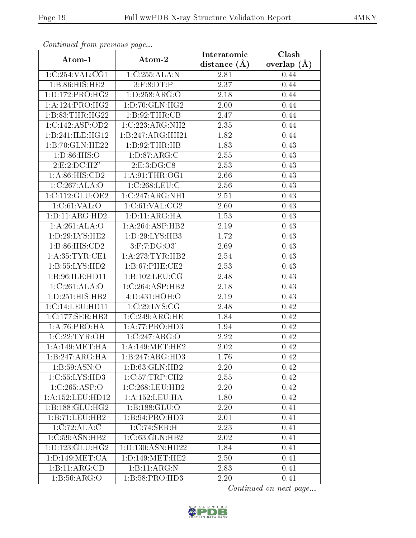| Commuca from previous page  |                     | Interatomic       | $\overline{\text{Clash}}$ |  |
|-----------------------------|---------------------|-------------------|---------------------------|--|
| Atom-1                      | Atom-2              | distance $(A)$    | overlap $(A)$             |  |
| 1:C:254:VAL:CG1             | 1:C:255:ALA:N       | 2.81              | 0.44                      |  |
| 1:B:86:HIS:HE2              | 3: F:8: DT:P        | $\overline{2.37}$ | 0.44                      |  |
| 1: D: 172: PRO:HG2          | 1: D: 258: ARG: O   | 2.18              | 0.44                      |  |
| 1:A:124:PRO:HG2             | 1: D:70: GLN: HG2   | 2.00              | 0.44                      |  |
| 1:B:83:THR:HG22             | 1:B:92:THR:CB       | 2.47              | 0.44                      |  |
| 1:C:142:ASP:OD2             | 1:C:223:ARG:NH2     | 2.35              | 0.44                      |  |
| 1:B:241:ILE:HGI2            | 1:B:247:ARG:HH21    | 1.82              | 0.44                      |  |
| 1:B:70:GLN:HE22             | 1: B:92: THR:HB     | 1.83              | 0.43                      |  |
| 1: D:86: HIS:O              | 1: D:87: ARG:C      | 2.55              | 0.43                      |  |
| 2: E: 2: DC: H2"            | 2: E: 3: DG: C8     | 2.53              | 0.43                      |  |
| 1: A:86: HIS:CD2            | 1: A:91:THR:OG1     | 2.66              | 0.43                      |  |
| 1:C:267:ALA:O               | 1:C:268:LEU:C       | 2.56              | 0.43                      |  |
| 1:C:112:GLU:OE2             | 1:C:247:ARG:NH1     | 2.51              | 0.43                      |  |
| 1: C:61: VAL:O              | 1:C:61:VAL:CG2      | 2.60              | 0.43                      |  |
| 1:D:11:ARG:HD2              | 1: D: 11: ARG: HA   | 1.53              | 0.43                      |  |
| 1:A:261:ALA:O               | 1:A:264:ASP:HB2     | 2.19              | 0.43                      |  |
| 1: D:29: LYS: HE2           | 1: D: 29: LYS: HB3  | 1.72              | 0.43                      |  |
| 1:B:86:HIS:CD2              | $3:$ F:7:DG: $O3'$  | 2.69              | 0.43                      |  |
| 1: A:35:TYR:CE1             | 1: A:273:TYR:HB2    | 2.54              | 0.43                      |  |
| $1:B:55:LYS:H\overline{D2}$ | 1: B:67:PHE:CE2     | 2.53              | 0.43                      |  |
| 1:B:96:ILE:HD11             | 1:B:102:LEU:CG      | 2.48              | 0.43                      |  |
| 1:C:261:ALA:O               | 1:C:264:ASP:HB2     | 2.18              | 0.43                      |  |
| 1:D:251:HIS:HB2             | 4:D:431:HOH:O       | 2.19              | 0.43                      |  |
| 1:C:14:LEU:HD11             | 1:C:29:LYS:CG       | 2.48              | 0.42                      |  |
| 1:C:177:SER:HB3             | 1:C:249:ARG:HE      | 1.84              | 0.42                      |  |
| 1:A:76:PRO:HA               | 1:A:77:PRO:HD3      | 1.94              | 0.42                      |  |
| 1:C:22:TYR:OH               | 1:C:247:ARG:O       | 2.22              | 0.42                      |  |
| 1: A:149: MET:HA            | 1: A:149:MET:HE2    | 2.02              | 0.42                      |  |
| 1:B:247:ARG:HA              | 1:B:247:ARG:HD3     | 1.76              | 0.42                      |  |
| 1:B:59:ASN:O                | 1:B:63:GLN:HB2      | 2.20              | 0.42                      |  |
| 1:C:55:LYS:HD3              | 1:C:57:TRP:CH2      | 2.55              | 0.42                      |  |
| 1:C:265:ASP:O               | 1:C:268:LEU:HB2     | 2.20              | 0.42                      |  |
| 1: A: 152: LEU: HD12        | 1: A: 152: LEU: HA  | 1.80              | 0.42                      |  |
| 1:B:188:GLU:HG2             | 1:B:188:GLU:O       | 2.20              | 0.41                      |  |
| 1:B:71:LEU:HB2              | 1:B:94:PRO:HD3      | 2.01              | 0.41                      |  |
| 1:C:72:ALA:C                | 1:C:74:SER:H        | 2.23              | 0.41                      |  |
| 1: C:59: ASN: HB2           | 1:C:63:GLN:HB2      | 2.02              | 0.41                      |  |
| 1: D: 123: GLU: HG2         | 1:D:130:ASN:HD22    | 1.84              | 0.41                      |  |
| 1: D: 149: MET: CA          | 1: D: 149: MET: HE2 | 2.50              | 0.41                      |  |
| 1:B:11:ARG:CD               | 1:B:11:ARG:N        | 2.83              | 0.41                      |  |
| 1: B: 56: ARG: O            | 1:B:58:PRO:HD3      | 2.20              | 0.41                      |  |

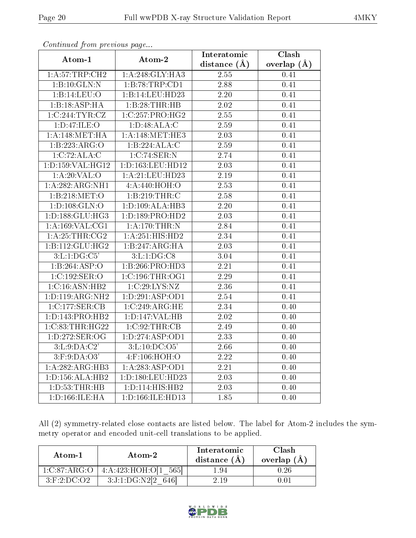| $\cdots$ $\cdots$ $\cdots$ $\cdots$ $\cdots$ |                      | Interatomic  | Clash         |  |
|----------------------------------------------|----------------------|--------------|---------------|--|
| Atom-1                                       | Atom-2               | distance (Å) | overlap $(A)$ |  |
| 1: A:57:TRP:CH2                              | 1:A:248:GLY:HA3      | 2.55         | 0.41          |  |
| 1:B:10:GLN:N                                 | 1:B:78:TRP:CD1       | 2.88         | 0.41          |  |
| 1:B:14:LEU:O                                 | 1:B:14:LEU:HD23      | 2.20         | 0.41          |  |
| 1:B:18:ASP:HA                                | 1:B:28:THR:HB        | 2.02         | 0.41          |  |
| 1:C:244:TYR:CZ                               | 1:C:257:PRO:HG2      | 2.55         | 0.41          |  |
| 1:D:47:ILE:O                                 | 1:D:48:ALA:C         | 2.59         | 0.41          |  |
| 1: A:148: MET:HA                             | 1: A:148:MET:HE3     | 2.03         | 0.41          |  |
| 1:B:223:ARG:O                                | 1:B:224:ALA:C        | $2.59\,$     | 0.41          |  |
| 1:C:72:ALA:C                                 | 1:C:74:SER:N         | 2.74         | 0.41          |  |
| 1:D:159:VAL:HG12                             | 1: D: 163: LEU: HD12 | 2.03         | 0.41          |  |
| 1: A:20: VAL:O                               | 1:A:21:LEU:HD23      | 2.19         | 0.41          |  |
| 1: A:282:ARG:NH1                             | 4:A:440:HOH:O        | 2.53         | 0.41          |  |
| 1: B:218: MET:O                              | 1:B:219:THR:C        | 2.58         | 0.41          |  |
| 1: D: 108: GLN: O                            | 1: D: 109: ALA: HB3  | $2.20\,$     | 0.41          |  |
| 1: D: 188: GLU: HG3                          | 1:D:189:PRO:HD2      | 2.03         | 0.41          |  |
| 1: A: 169: VAL: CG1                          | 1: A:170:THR:N       | 2.84         | 0.41          |  |
| 1:A:25:THR:CG2                               | 1:A:251:HIS:HD2      | 2.34         | 0.41          |  |
| 1:B:112:GLU:HG2                              | 1:B:247:ARG:HA       | 2.03         | 0.41          |  |
| 3: L: 1: DG: C5'                             | 3: L: 1: DG: C8      | 3.04         | 0.41          |  |
| 1:B:264:ASP:O                                | 1:B:266:PRO:HD3      | 2.21         | 0.41          |  |
| 1:C:192:SER:O                                | 1:C:196:THR:OG1      | 2.29         | 0.41          |  |
| 1:C:16:ASN:HB2                               | 1:C:29:LYS:NZ        | 2.36         | 0.41          |  |
| 1: D: 119: ARG: NH2                          | 1: D:291: ASP:OD1    | 2.54         | 0.41          |  |
| 1:C:177:SER:CB                               | 1:C:249:ARG:HE       | 2.34         | 0.40          |  |
| 1:D:143:PRO:HB2                              | 1: D: 147: VAL: HB   | 2.02         | 0.40          |  |
| 1:C:83:THR:HG22                              | 1:C:92:THR:CB        | 2.49         | 0.40          |  |
| 1:D:272:SER:OG                               | 1: D: 274: ASP: OD1  | 2.33         | 0.40          |  |
| 3:L:9:DA:C2'                                 | 3: L: 10: DC: O5'    | 2.66         | 0.40          |  |
| $3:$ F:9:DA:O3'                              | $4:$ F:106:HOH:O     | 2.22         | 0.40          |  |
| 1:A:282:ARG:HB3                              | 1:A:283:ASP:OD1      | 2.21         | 0.40          |  |
| 1: D: 156: ALA: HB2                          | 1:D:180:LEU:HD23     | 2.03         | 0.40          |  |
| 1: D: 53: THR: HB                            | 1: D: 114: HIS: HB2  | 2.03         | 0.40          |  |
| 1: D: 166: ILE: HA                           | 1:D:166:ILE:HD13     | 1.85         | 0.40          |  |

All (2) symmetry-related close contacts are listed below. The label for Atom-2 includes the symmetry operator and encoded unit-cell translations to be applied.

| Atom-1            | Atom-2               | Interatomic<br>distance $(A)$ | Clash<br>overlap (A |  |
|-------------------|----------------------|-------------------------------|---------------------|--|
| 1:C:87:ARG:O      | 4:A:423:HOH:O[1 565] | 1.94                          | 0.26                |  |
| $3:$ F:2:DC: $O2$ | 3:J:1:DG:N2[2        | 2.19                          | O.OI                |  |

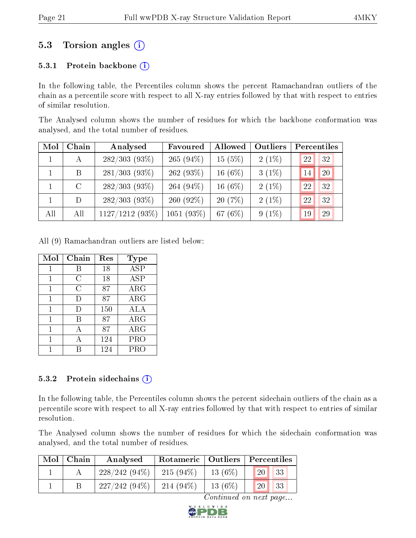### 5.3 Torsion angles (i)

#### 5.3.1 Protein backbone  $(i)$

In the following table, the Percentiles column shows the percent Ramachandran outliers of the chain as a percentile score with respect to all X-ray entries followed by that with respect to entries of similar resolution.

The Analysed column shows the number of residues for which the backbone conformation was analysed, and the total number of residues.

| Mol | Chain   | Analysed          | Favoured     | Allowed   | Outliers |    | Percentiles |
|-----|---------|-------------------|--------------|-----------|----------|----|-------------|
|     | A       | $282/303(93\%)$   | $265(94\%)$  | 15(5%)    | $2(1\%)$ | 22 | 32          |
|     | B       | $281/303(93\%)$   | 262 $(93%)$  | 16 $(6%)$ | $3(1\%)$ | 14 | 20          |
|     | $\rm C$ | $282/303(93\%)$   | 264 $(94\%)$ | 16 $(6%)$ | $2(1\%)$ | 22 | 32          |
|     | D       | $282/303(93\%)$   | 260 $(92\%)$ | 20(7%)    | $2(1\%)$ | 22 | 32          |
| All | All     | $1127/1212(93\%)$ | 1051(93%)    | 67 $(6%)$ | $9(1\%)$ | 19 | 29          |

All (9) Ramachandran outliers are listed below:

| Mol          | Chain | Res | Type       |
|--------------|-------|-----|------------|
| 1            | В     | 18  | <b>ASP</b> |
| 1            | С     | 18  | <b>ASP</b> |
| 1            | С     | 87  | ARG        |
| $\mathbf{1}$ | D     | 87  | $\rm{ARG}$ |
| 1            | D     | 150 | ALA        |
| 1            | В     | 87  | $\rm{ARG}$ |
| 1            | A     | 87  | $\rm{ARG}$ |
| 1            | A     | 124 | PRO        |
|              |       | 124 | PRO        |

#### 5.3.2 Protein sidechains  $(i)$

In the following table, the Percentiles column shows the percent sidechain outliers of the chain as a percentile score with respect to all X-ray entries followed by that with respect to entries of similar resolution.

The Analysed column shows the number of residues for which the sidechain conformation was analysed, and the total number of residues.

| Mol | ⊢Chain | Analysed        |              |           | Rotameric   Outliers   Percentiles |  |
|-----|--------|-----------------|--------------|-----------|------------------------------------|--|
|     |        | $228/242(94\%)$ | $-215(94\%)$ | $13(6\%)$ | 33<br>20 <sup>1</sup>              |  |
|     |        | $227/242(94\%)$ | 214 $(94\%)$ | $13(6\%)$ | <b>20</b> l<br>33                  |  |

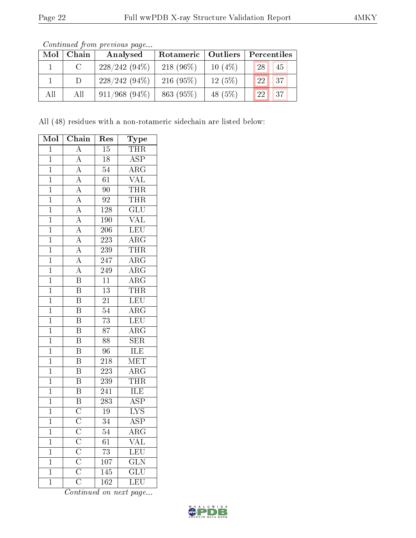| Mol | Chain | Analysed         |             | Rotameric   Outliers |      | Percentiles |  |
|-----|-------|------------------|-------------|----------------------|------|-------------|--|
|     | C.    | $228/242(94\%)$  | $218(96\%)$ | $10(4\%)$            | 28   | 45          |  |
|     | D     | $228/242(94\%)$  | $216(95\%)$ | $12(5\%)$            | 122. | 37          |  |
| All | All   | $911/968$ (94\%) | 863 (95%)   | 48 (5%)              | 22   | 37          |  |

Continued from previous page.

All (48) residues with a non-rotameric sidechain are listed below:

| Mol            | Chain                               | Res              | Type                    |
|----------------|-------------------------------------|------------------|-------------------------|
| $\mathbf 1$    | $\overline{\rm A}$                  | 15               | <b>THR</b>              |
| $\overline{1}$ | $\overline{\rm A}$                  | $\overline{18}$  | $\overline{\text{ASP}}$ |
| $\overline{1}$ | $\overline{\rm A}$                  | $\overline{54}$  | $\overline{\rm{ARG}}$   |
| $\overline{1}$ | $\overline{\rm A}$                  | $\overline{61}$  | $\overline{\text{VAL}}$ |
| $\overline{1}$ | $\overline{\rm A}$                  | $\overline{90}$  | <b>THR</b>              |
| $\mathbf 1$    | $\overline{\rm A}$                  | $\overline{92}$  | THR                     |
| $\overline{1}$ | $\overline{A}$                      | 128              | $\overline{\text{GLU}}$ |
| $\mathbf{1}$   | $\overline{\rm A}$                  | 190              | <b>VAL</b>              |
| $\overline{1}$ | $\overline{A}$                      | $\overline{206}$ | LEU                     |
| $\overline{1}$ | $\overline{A}$                      | $\overline{223}$ | $\overline{\text{ARG}}$ |
| $\mathbf 1$    | $\overline{\rm A}$                  | 239              | THR                     |
| $\overline{1}$ | $\overline{A}$                      | 247              | $\overline{\rm ARG}$    |
| $\mathbf 1$    | $\overline{\rm A}$                  | 249              | $\overline{\rm ARG}$    |
| $\overline{1}$ | $\overline{\mathbf{B}}$             | $\overline{11}$  | $\overline{\rm{ARG}}$   |
| $\mathbf 1$    | $\overline{\mathrm{B}}$             | $\overline{13}$  | <b>THR</b>              |
| $\mathbf{1}$   | $\overline{\mathrm{B}}$             | $\overline{21}$  | LEU                     |
| $\overline{1}$ | $\overline{\mathrm{B}}$             | $\overline{54}$  | $\overline{\rm{ARG}}$   |
| $\mathbf 1$    | $\overline{\mathrm{B}}$             | $\overline{73}$  | LEU                     |
| $\overline{1}$ | $\overline{\mathrm{B}}$             | $\overline{87}$  | $\overline{\text{ARG}}$ |
| $\mathbf{1}$   | $\overline{\mathrm{B}}$             | $\overline{88}$  | $\overline{\text{SER}}$ |
| $\overline{1}$ | $\overline{\mathrm{B}}$             | $\overline{96}$  | <b>ILE</b>              |
| $\mathbf 1$    | $\overline{\mathrm{B}}$             | $\overline{218}$ | $\overline{\text{MET}}$ |
| $\mathbf 1$    | $\boldsymbol{B}$                    | $\overline{223}$ | $\rm{ARG}$              |
| $\overline{1}$ | $\overline{\mathrm{B}}$             | 239              | THR                     |
| $\overline{1}$ | $\overline{\text{B}}$               | $\overline{241}$ | ILE                     |
| $\overline{1}$ | $\overline{\mathrm{B}}$             | $\overline{283}$ | $\overline{\text{ASP}}$ |
| $\mathbf 1$    | $\overline{C}$                      | $\overline{19}$  | $\overline{\text{LYS}}$ |
| $\mathbf 1$    | $\overline{C}$                      | $\overline{34}$  | $\overline{\rm ASP}$    |
| $\mathbf 1$    | $\overline{\text{C}}$               | 54               | $\overline{\rm ARG}$    |
| $\mathbf 1$    | $\overline{\overline{\rm C}}$       | $\overline{61}$  | $\overline{\text{VAL}}$ |
| $\mathbf 1$    | $\overline{\rm C}$                  | $\overline{73}$  | LEU                     |
| $\mathbf 1$    | $\overline{C}$                      | 107              | $\overline{\text{GLN}}$ |
| $\overline{1}$ | $\frac{\overline{C}}{\overline{C}}$ | $\overline{145}$ | $\overline{\text{GLU}}$ |
| $\overline{1}$ |                                     | $\overline{162}$ | $\overline{\text{LEU}}$ |

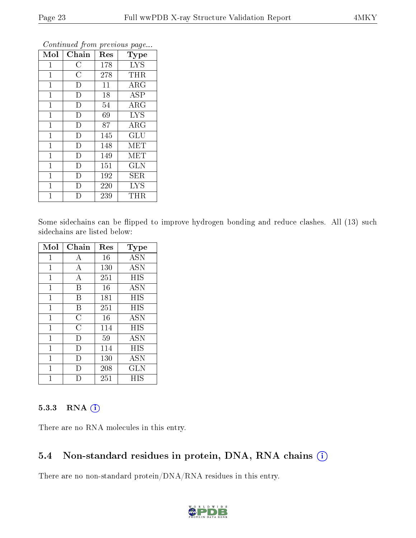| Mol            | Chain          | Res | Type                       |
|----------------|----------------|-----|----------------------------|
| $\overline{1}$ | $\mathcal{C}$  | 178 | <b>LYS</b>                 |
| $\mathbf{1}$   | $\overline{C}$ | 278 | <b>THR</b>                 |
| $\mathbf{1}$   | D              | 11  | $\overline{\rm{A}}\rm{RG}$ |
| $\mathbf{1}$   | D              | 18  | <b>ASP</b>                 |
| $\mathbf{1}$   | D              | 54  | $\rm{ARG}$                 |
| 1              | D              | 69  | <b>LYS</b>                 |
| $\mathbf{1}$   | D              | 87  | ARG                        |
| 1              | D              | 145 | GLU                        |
| $\mathbf{1}$   | D              | 148 | MET                        |
| $\mathbf{1}$   | D              | 149 | MET                        |
| $\mathbf 1$    | D              | 151 | <b>GLN</b>                 |
| $\mathbf{1}$   | D              | 192 | <b>SER</b>                 |
| $\mathbf{1}$   | D              | 220 | <b>LYS</b>                 |
| 1              | D              | 239 | THR                        |

Some sidechains can be flipped to improve hydrogen bonding and reduce clashes. All (13) such sidechains are listed below:

| Mol          | Chain          | Res | Type       |
|--------------|----------------|-----|------------|
| $\mathbf{1}$ | A              | 16  | <b>ASN</b> |
| 1            | А              | 130 | <b>ASN</b> |
| 1            | A              | 251 | HIS        |
| 1            | B              | 16  | <b>ASN</b> |
| 1            | B              | 181 | HIS        |
| 1            | B              | 251 | HIS        |
| 1            | $\overline{C}$ | 16  | <b>ASN</b> |
| 1            | C              | 114 | HIS        |
| $\mathbf{1}$ | D              | 59  | <b>ASN</b> |
| 1            | D              | 114 | HIS        |
| 1            | D)             | 130 | <b>ASN</b> |
| 1            | D              | 208 | <b>GLN</b> |
|              |                | 251 | НIS        |

#### 5.3.3 RNA [O](https://www.wwpdb.org/validation/2017/XrayValidationReportHelp#rna)i

There are no RNA molecules in this entry.

#### 5.4 Non-standard residues in protein, DNA, RNA chains (i)

There are no non-standard protein/DNA/RNA residues in this entry.

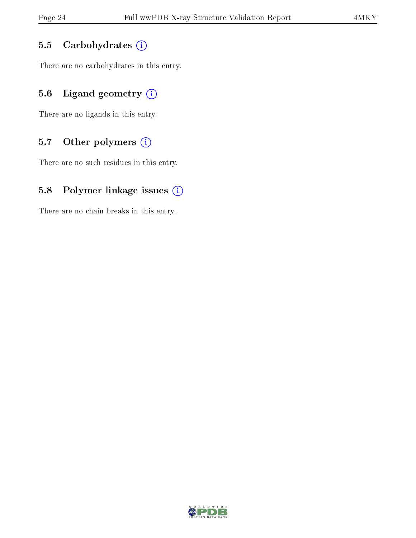#### 5.5 Carbohydrates  $(i)$

There are no carbohydrates in this entry.

### 5.6 Ligand geometry  $(i)$

There are no ligands in this entry.

### 5.7 [O](https://www.wwpdb.org/validation/2017/XrayValidationReportHelp#nonstandard_residues_and_ligands)ther polymers  $(i)$

There are no such residues in this entry.

#### 5.8 Polymer linkage issues  $(i)$

There are no chain breaks in this entry.

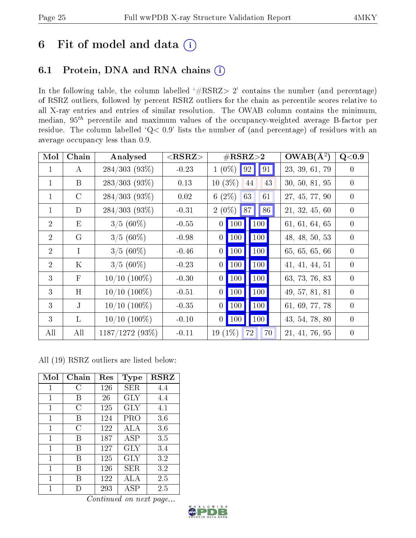# 6 Fit of model and data  $(i)$

### 6.1 Protein, DNA and RNA chains  $(i)$

In the following table, the column labelled  $#RSRZ> 2'$  contains the number (and percentage) of RSRZ outliers, followed by percent RSRZ outliers for the chain as percentile scores relative to all X-ray entries and entries of similar resolution. The OWAB column contains the minimum, median,  $95<sup>th</sup>$  percentile and maximum values of the occupancy-weighted average B-factor per residue. The column labelled ' $Q< 0.9$ ' lists the number of (and percentage) of residues with an average occupancy less than 0.9.

| Mol            | Chain         | Analysed          | $<$ RSRZ $>$ |                 |                     | $\#\text{RSRZ}\text{>2}$   |    | $\overline{\text{OWAB}}(\AA^2)$ | Q< 0.9           |
|----------------|---------------|-------------------|--------------|-----------------|---------------------|----------------------------|----|---------------------------------|------------------|
| $\mathbf 1$    | $\bf{A}$      | $284/303(93\%)$   | $-0.23$      |                 | $1(0\%)$ 92         | $\vert\,\vert\, 91\,\vert$ |    | 23, 39, 61, 79                  | $\left( \right)$ |
| $\mathbf{1}$   | B             | $283/303$ (93%)   | 0.13         | $10(3\%)$       |                     | 44                         | 43 | 30, 50, 81, 95                  | $\Omega$         |
| $\mathbf 1$    | $\mathcal{C}$ | $284/303(93\%)$   | 0.02         | 6 $(2\%)$       |                     | 63                         | 61 | 27, 45, 77, 90                  | $\theta$         |
| $\mathbf{1}$   | D             | $284/303(93\%)$   | $-0.31$      |                 | $2(0\%)$ 87         | 86                         |    | 21, 32, 45, 60                  | $\theta$         |
| $\overline{2}$ | E             | $3/5(60\%)$       | $-0.55$      |                 | $0$   100           | 100                        |    | 61, 61, 64, 65                  | $\theta$         |
| $\overline{2}$ | $\mathcal G$  | $3/5(60\%)$       | $-0.98$      |                 | $0$   100           | 100                        |    | 48, 48, 50, 53                  | $\theta$         |
| $\overline{2}$ | I             | $3/5(60\%)$       | $-0.46$      | $\vert 0 \vert$ | $\vert$ 100 $\vert$ | $\vert$ 100                |    | 65, 65, 65, 66                  | $\overline{0}$   |
| 2              | $\rm K$       | $3/5(60\%)$       | $-0.23$      |                 | $0$ 100             | 100                        |    | 41, 41, 44, 51                  | $\theta$         |
| $\mathcal{E}$  | F             | $10/10$ $(100\%)$ | $-0.30$      |                 | $0$ 100             | <b>100</b>                 |    | 63, 73, 76, 83                  | $\Omega$         |
| 3              | H             | $10/10$ $(100\%)$ | $-0.51$      | $\vert 0 \vert$ | $\vert$ 100 $\vert$ | <b>100</b>                 |    | 49, 57, 81, 81                  | $\theta$         |
| 3              | J.            | $10/10$ $(100\%)$ | $-0.35$      |                 | $0$   100           | $\vert$ 100                |    | 61, 69, 77, 78                  | $\theta$         |
| $\mathcal{E}$  | $\mathbf{L}$  | $10/10$ $(100\%)$ | $-0.10$      |                 | $0$ 100             | $\vert$ 100 $\vert$        |    | 43, 54, 78, 80                  | $\Omega$         |
| All            | All           | $1187/1272(93\%)$ | $-0.11$      | $19(1\%)$       |                     | 72                         | 70 | 21, 41, 76, 95                  | $\theta$         |

All (19) RSRZ outliers are listed below:

| Mol         | Chain | Res | Type       | <b>RSRZ</b> |
|-------------|-------|-----|------------|-------------|
| 1           | C     | 126 | SER        | 4.4         |
| 1           | В     | 26  | GLY        | 4.4         |
| 1           | C     | 125 | <b>GLY</b> | 4.1         |
| 1           | B     | 124 | PRO        | 3.6         |
| 1           | C     | 122 | ALA        | 3.6         |
| 1           | В     | 187 | ASP        | 3.5         |
| $\mathbf 1$ | B     | 127 | GLY        | 3.4         |
| 1           | В     | 125 | GLY        | 3.2         |
| 1           | В     | 126 | SER.       | 3.2         |
| 1           | R     | 122 | ALA        | 2.5         |
| 1           |       | 293 | ASP        | 2.5         |